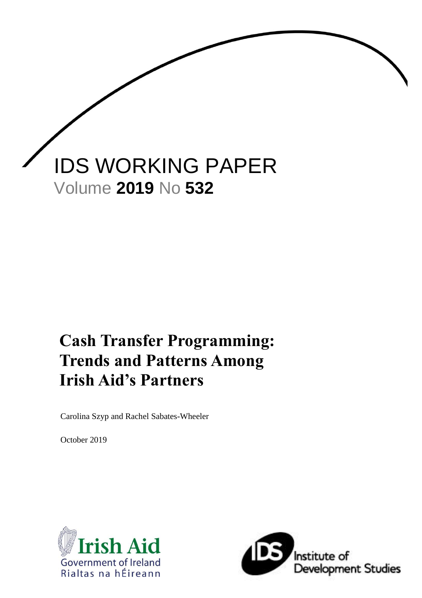

# **Cash Transfer Programming: Trends and Patterns Among Irish Aid's Partners**

Carolina Szyp and Rachel Sabates-Wheeler

October 2019



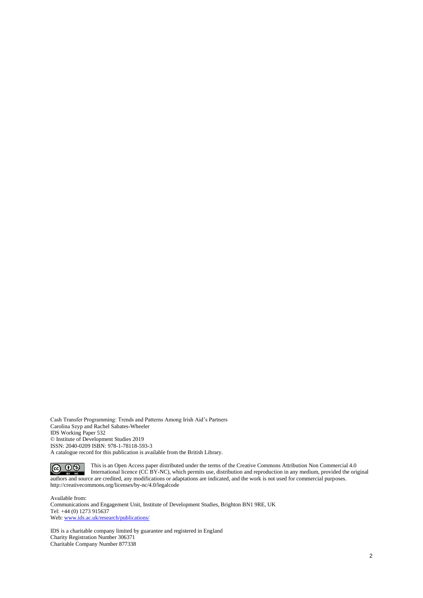Cash Transfer Programming: Trends and Patterns Among Irish Aid's Partners Carolina Szyp and Rachel Sabates-Wheeler IDS Working Paper 532 © Institute of Development Studies 2019 ISSN: 2040-0209 ISBN: 978-1-78118-593-3 A catalogue record for this publication is available from the British Library.

This is an Open Access paper distributed under the terms of the Creative Commons Attribution Non Commercial 4.0 International licence (CC BY-NC), which permits use, distribution and reproduction in any medium, provided the original authors and source are credited, any modifications or adaptations are indicated, and the work is not used for commercial purposes. http://creativecommons.org/licenses/by-nc/4.0/legalcode

Available from: Communications and Engagement Unit, Institute of Development Studies, Brighton BN1 9RE, UK Tel: +44 (0) 1273 915637 Web: www.ids.ac.uk/research/publications/

IDS is a charitable company limited by guarantee and registered in England Charity Registration Number 306371 Charitable Company Number 877338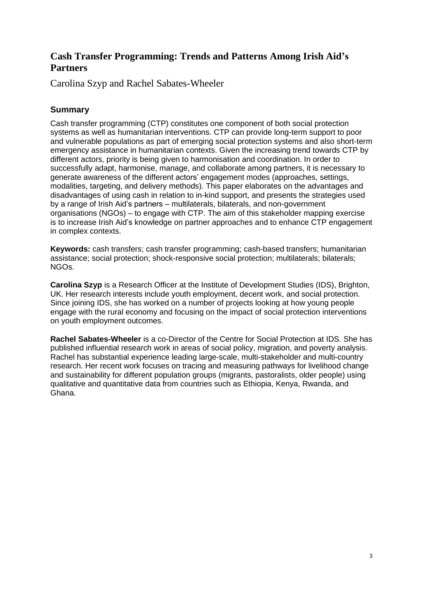## **Cash Transfer Programming: Trends and Patterns Among Irish Aid's Partners**

Carolina Szyp and Rachel Sabates-Wheeler

## **Summary**

Cash transfer programming (CTP) constitutes one component of both social protection systems as well as humanitarian interventions. CTP can provide long-term support to poor and vulnerable populations as part of emerging social protection systems and also short-term emergency assistance in humanitarian contexts. Given the increasing trend towards CTP by different actors, priority is being given to harmonisation and coordination. In order to successfully adapt, harmonise, manage, and collaborate among partners, it is necessary to generate awareness of the different actors' engagement modes (approaches, settings, modalities, targeting, and delivery methods). This paper elaborates on the advantages and disadvantages of using cash in relation to in-kind support, and presents the strategies used by a range of Irish Aid's partners – multilaterals, bilaterals, and non-government organisations (NGOs) – to engage with CTP. The aim of this stakeholder mapping exercise is to increase Irish Aid's knowledge on partner approaches and to enhance CTP engagement in complex contexts.

**Keywords:** cash transfers; cash transfer programming; cash-based transfers; humanitarian assistance; social protection; shock-responsive social protection; multilaterals; bilaterals; NGOs.

**Carolina Szyp** is a Research Officer at the Institute of Development Studies (IDS), Brighton, UK. Her research interests include youth employment, decent work, and social protection. Since joining IDS, she has worked on a number of projects looking at how young people engage with the rural economy and focusing on the impact of social protection interventions on youth employment outcomes.

**Rachel Sabates-Wheeler** is a co-Director of the Centre for Social Protection at IDS. She has published influential research work in areas of social policy, migration, and poverty analysis. Rachel has substantial experience leading large-scale, multi-stakeholder and multi-country research. Her recent work focuses on tracing and measuring pathways for livelihood change and sustainability for different population groups (migrants, pastoralists, older people) using qualitative and quantitative data from countries such as Ethiopia, Kenya, Rwanda, and Ghana.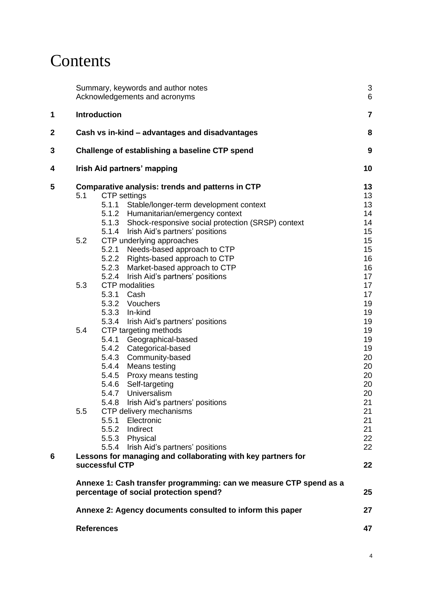# **Contents**

|   |     | Summary, keywords and author notes<br>Acknowledgements and acronyms                                          | $\mathsf 3$<br>$6\phantom{1}6$ |
|---|-----|--------------------------------------------------------------------------------------------------------------|--------------------------------|
| 1 |     | Introduction                                                                                                 | $\overline{7}$                 |
| 2 |     | Cash vs in-kind – advantages and disadvantages                                                               | 8                              |
| 3 |     | Challenge of establishing a baseline CTP spend                                                               | $\boldsymbol{9}$               |
| 4 |     | Irish Aid partners' mapping                                                                                  | 10                             |
| 5 |     | Comparative analysis: trends and patterns in CTP                                                             | 13                             |
|   | 5.1 | <b>CTP</b> settings                                                                                          | 13                             |
|   |     | 5.1.1<br>Stable/longer-term development context                                                              | 13                             |
|   |     | 5.1.2 Humanitarian/emergency context                                                                         | 14                             |
|   |     | 5.1.3 Shock-responsive social protection (SRSP) context                                                      | 14                             |
|   |     | 5.1.4<br>Irish Aid's partners' positions                                                                     | 15                             |
|   | 5.2 | CTP underlying approaches                                                                                    | 15                             |
|   |     | 5.2.1<br>Needs-based approach to CTP                                                                         | 15                             |
|   |     | 5.2.2<br>Rights-based approach to CTP                                                                        | 16                             |
|   |     | 5.2.3<br>Market-based approach to CTP                                                                        | 16                             |
|   |     | 5.2.4<br>Irish Aid's partners' positions                                                                     | 17                             |
|   | 5.3 | <b>CTP</b> modalities                                                                                        | 17                             |
|   |     | 5.3.1 Cash                                                                                                   | 17                             |
|   |     | 5.3.2 Vouchers                                                                                               | 19                             |
|   |     | 5.3.3 In-kind                                                                                                | 19                             |
|   |     | 5.3.4<br>Irish Aid's partners' positions                                                                     | 19                             |
|   | 5.4 | CTP targeting methods                                                                                        | 19                             |
|   |     | 5.4.1<br>Geographical-based                                                                                  | 19                             |
|   |     | 5.4.2 Categorical-based                                                                                      | 19                             |
|   |     | 5.4.3<br>Community-based                                                                                     | 20                             |
|   |     | 5.4.4 Means testing                                                                                          | 20                             |
|   |     | Proxy means testing<br>5.4.5                                                                                 | 20                             |
|   |     | 5.4.6 Self-targeting                                                                                         | 20                             |
|   |     | 5.4.7 Universalism                                                                                           | 20                             |
|   |     | 5.4.8 Irish Aid's partners' positions                                                                        | 21                             |
|   | 5.5 |                                                                                                              |                                |
|   |     | CTP delivery mechanisms<br>5.5.1                                                                             | 21                             |
|   |     | Electronic                                                                                                   | 21                             |
|   |     | 5.5.2 Indirect                                                                                               | 21                             |
|   |     | 5.5.3 Physical                                                                                               | 22                             |
|   |     | Irish Aid's partners' positions<br>5.5.4                                                                     | 22                             |
| 6 |     | Lessons for managing and collaborating with key partners for<br>successful CTP                               | 22                             |
|   |     | Annexe 1: Cash transfer programming: can we measure CTP spend as a<br>percentage of social protection spend? | 25                             |
|   |     | Annexe 2: Agency documents consulted to inform this paper                                                    | 27                             |
|   |     | <b>References</b>                                                                                            | 47                             |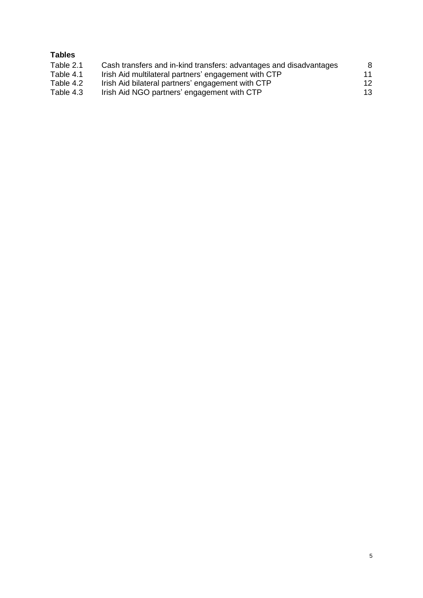## **Tables**

| Table 2.1 | Cash transfers and in-kind transfers: advantages and disadvantages | 8  |
|-----------|--------------------------------------------------------------------|----|
| Table 4.1 | Irish Aid multilateral partners' engagement with CTP               | 11 |
| Table 4.2 | Irish Aid bilateral partners' engagement with CTP                  | 12 |
| Table 4.3 | Irish Aid NGO partners' engagement with CTP                        | 13 |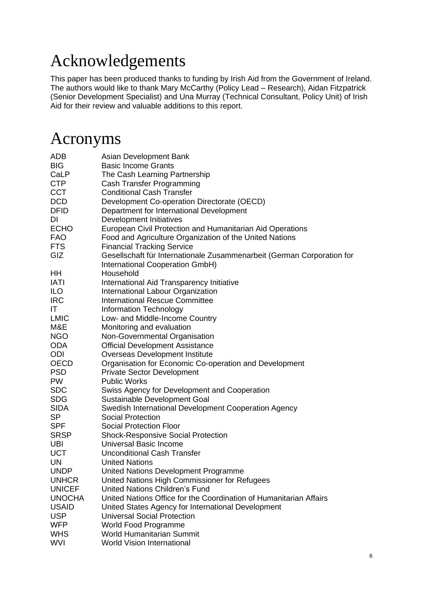# Acknowledgements

This paper has been produced thanks to funding by Irish Aid from the Government of Ireland. The authors would like to thank Mary McCarthy (Policy Lead – Research), Aidan Fitzpatrick (Senior Development Specialist) and Una Murray (Technical Consultant, Policy Unit) of Irish Aid for their review and valuable additions to this report.

## Acronyms

| ADB           | Asian Development Bank                                                 |
|---------------|------------------------------------------------------------------------|
| <b>BIG</b>    | <b>Basic Income Grants</b>                                             |
| CaLP          | The Cash Learning Partnership                                          |
| <b>CTP</b>    | Cash Transfer Programming                                              |
| <b>CCT</b>    | <b>Conditional Cash Transfer</b>                                       |
| <b>DCD</b>    | Development Co-operation Directorate (OECD)                            |
| <b>DFID</b>   | Department for International Development                               |
| DI            | Development Initiatives                                                |
| <b>ECHO</b>   | European Civil Protection and Humanitarian Aid Operations              |
| <b>FAO</b>    | Food and Agriculture Organization of the United Nations                |
| <b>FTS</b>    | <b>Financial Tracking Service</b>                                      |
| GIZ           | Gesellschaft für Internationale Zusammenarbeit (German Corporation for |
|               | International Cooperation GmbH)                                        |
| HH            | Household                                                              |
| <b>IATI</b>   | International Aid Transparency Initiative                              |
| <b>ILO</b>    | International Labour Organization                                      |
| <b>IRC</b>    | <b>International Rescue Committee</b>                                  |
| IT.           | Information Technology                                                 |
| <b>LMIC</b>   | Low- and Middle-Income Country                                         |
| M&E           | Monitoring and evaluation                                              |
| <b>NGO</b>    | Non-Governmental Organisation                                          |
| <b>ODA</b>    | <b>Official Development Assistance</b>                                 |
| ODI           | <b>Overseas Development Institute</b>                                  |
| <b>OECD</b>   | Organisation for Economic Co-operation and Development                 |
| <b>PSD</b>    | <b>Private Sector Development</b>                                      |
| <b>PW</b>     | <b>Public Works</b>                                                    |
| <b>SDC</b>    | Swiss Agency for Development and Cooperation                           |
| <b>SDG</b>    | Sustainable Development Goal                                           |
| <b>SIDA</b>   | Swedish International Development Cooperation Agency                   |
| <b>SP</b>     | <b>Social Protection</b>                                               |
| <b>SPF</b>    | <b>Social Protection Floor</b>                                         |
| <b>SRSP</b>   | <b>Shock-Responsive Social Protection</b>                              |
| <b>UBI</b>    | <b>Universal Basic Income</b>                                          |
| <b>UCT</b>    | <b>Unconditional Cash Transfer</b>                                     |
| UN            | <b>United Nations</b>                                                  |
| <b>UNDP</b>   | United Nations Development Programme                                   |
| <b>UNHCR</b>  | United Nations High Commissioner for Refugees                          |
| <b>UNICEF</b> | <b>United Nations Children's Fund</b>                                  |
| <b>UNOCHA</b> | United Nations Office for the Coordination of Humanitarian Affairs     |
| <b>USAID</b>  | United States Agency for International Development                     |
| <b>USP</b>    | <b>Universal Social Protection</b>                                     |
| <b>WFP</b>    | <b>World Food Programme</b>                                            |
| <b>WHS</b>    | <b>World Humanitarian Summit</b>                                       |
| <b>WVI</b>    | <b>World Vision International</b>                                      |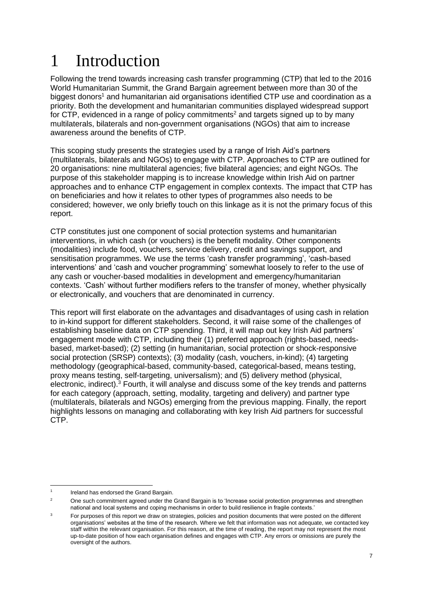# 1 Introduction

Following the trend towards increasing cash transfer programming (CTP) that led to the 2016 World Humanitarian Summit, the Grand Bargain agreement between more than 30 of the biggest donors<sup>1</sup> and humanitarian aid organisations identified CTP use and coordination as a priority. Both the development and humanitarian communities displayed widespread support for CTP, evidenced in a range of policy commitments<sup>2</sup> and targets signed up to by many multilaterals, bilaterals and non-government organisations (NGOs) that aim to increase awareness around the benefits of CTP.

This scoping study presents the strategies used by a range of Irish Aid's partners (multilaterals, bilaterals and NGOs) to engage with CTP. Approaches to CTP are outlined for 20 organisations: nine multilateral agencies; five bilateral agencies; and eight NGOs. The purpose of this stakeholder mapping is to increase knowledge within Irish Aid on partner approaches and to enhance CTP engagement in complex contexts. The impact that CTP has on beneficiaries and how it relates to other types of programmes also needs to be considered; however, we only briefly touch on this linkage as it is not the primary focus of this report.

CTP constitutes just one component of social protection systems and humanitarian interventions, in which cash (or vouchers) is the benefit modality. Other components (modalities) include food, vouchers, service delivery, credit and savings support, and sensitisation programmes. We use the terms 'cash transfer programming', 'cash-based interventions' and 'cash and voucher programming' somewhat loosely to refer to the use of any cash or voucher-based modalities in development and emergency/humanitarian contexts. 'Cash' without further modifiers refers to the transfer of money, whether physically or electronically, and vouchers that are denominated in currency.

This report will first elaborate on the advantages and disadvantages of using cash in relation to in-kind support for different stakeholders. Second, it will raise some of the challenges of establishing baseline data on CTP spending. Third, it will map out key Irish Aid partners' engagement mode with CTP, including their (1) preferred approach (rights-based, needsbased, market-based); (2) setting (in humanitarian, social protection or shock-responsive social protection (SRSP) contexts); (3) modality (cash, vouchers, in-kind); (4) targeting methodology (geographical-based, community-based, categorical-based, means testing, proxy means testing, self-targeting, universalism); and (5) delivery method (physical, electronic, indirect).<sup>3</sup> Fourth, it will analyse and discuss some of the key trends and patterns for each category (approach, setting, modality, targeting and delivery) and partner type (multilaterals, bilaterals and NGOs) emerging from the previous mapping. Finally, the report highlights lessons on managing and collaborating with key Irish Aid partners for successful CTP.

<sup>1</sup> Ireland has endorsed the Grand Bargain.

<sup>&</sup>lt;sup>2</sup> One such commitment agreed under the Grand Bargain is to 'Increase social protection programmes and strengthen national and local systems and coping mechanisms in order to build resilience in fragile contexts.'

<sup>&</sup>lt;sup>3</sup> For purposes of this report we draw on strategies, policies and position documents that were posted on the different organisations' websites at the time of the research. Where we felt that information was not adequate, we contacted key staff within the relevant organisation. For this reason, at the time of reading, the report may not represent the most up-to-date position of how each organisation defines and engages with CTP. Any errors or omissions are purely the oversight of the authors.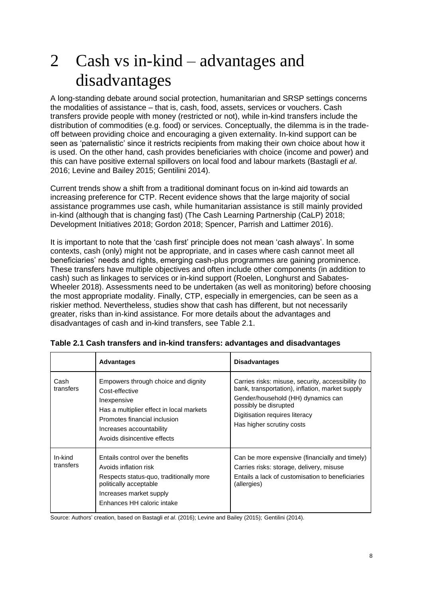# 2 Cash vs in-kind – advantages and disadvantages

A long-standing debate around social protection, humanitarian and SRSP settings concerns the modalities of assistance – that is, cash, food, assets, services or vouchers. Cash transfers provide people with money (restricted or not), while in-kind transfers include the distribution of commodities (e.g. food) or services. Conceptually, the dilemma is in the tradeoff between providing choice and encouraging a given externality. In-kind support can be seen as 'paternalistic' since it restricts recipients from making their own choice about how it is used. On the other hand, cash provides beneficiaries with choice (income and power) and this can have positive external spillovers on local food and labour markets (Bastagli *et al*. 2016; Levine and Bailey 2015; Gentilini 2014).

Current trends show a shift from a traditional dominant focus on in-kind aid towards an increasing preference for CTP. Recent evidence shows that the large majority of social assistance programmes use cash, while humanitarian assistance is still mainly provided in-kind (although that is changing fast) (The Cash Learning Partnership (CaLP) 2018; Development Initiatives 2018; Gordon 2018; Spencer, Parrish and Lattimer 2016).

It is important to note that the 'cash first' principle does not mean 'cash always'. In some contexts, cash (only) might not be appropriate, and in cases where cash cannot meet all beneficiaries' needs and rights, emerging cash-plus programmes are gaining prominence. These transfers have multiple objectives and often include other components (in addition to cash) such as linkages to services or in-kind support (Roelen, Longhurst and Sabates-Wheeler 2018). Assessments need to be undertaken (as well as monitoring) before choosing the most appropriate modality. Finally, CTP, especially in emergencies, can be seen as a riskier method. Nevertheless, studies show that cash has different, but not necessarily greater, risks than in‐kind assistance. For more details about the advantages and disadvantages of cash and in-kind transfers, see Table 2.1.

|                      | <b>Advantages</b>                                                                                                                                                                                           | <b>Disadvantages</b>                                                                                                                                                                                                                |
|----------------------|-------------------------------------------------------------------------------------------------------------------------------------------------------------------------------------------------------------|-------------------------------------------------------------------------------------------------------------------------------------------------------------------------------------------------------------------------------------|
| Cash<br>transfers    | Empowers through choice and dignity<br>Cost-effective<br>Inexpensive<br>Has a multiplier effect in local markets<br>Promotes financial inclusion<br>Increases accountability<br>Avoids disincentive effects | Carries risks: misuse, security, accessibility (to<br>bank, transportation), inflation, market supply<br>Gender/household (HH) dynamics can<br>possibly be disrupted<br>Digitisation requires literacy<br>Has higher scrutiny costs |
| In-kind<br>transfers | Entails control over the benefits<br>Avoids inflation risk<br>Respects status-quo, traditionally more<br>politically acceptable<br>Increases market supply<br>Enhances HH caloric intake                    | Can be more expensive (financially and timely)<br>Carries risks: storage, delivery, misuse<br>Entails a lack of customisation to beneficiaries<br>(allergies)                                                                       |

<span id="page-7-0"></span>**Table 2.1 Cash transfers and in-kind transfers: advantages and disadvantages**

Source: Authors' creation, based on Bastagli *et al*. (2016); Levine and Bailey (2015); Gentilini (2014).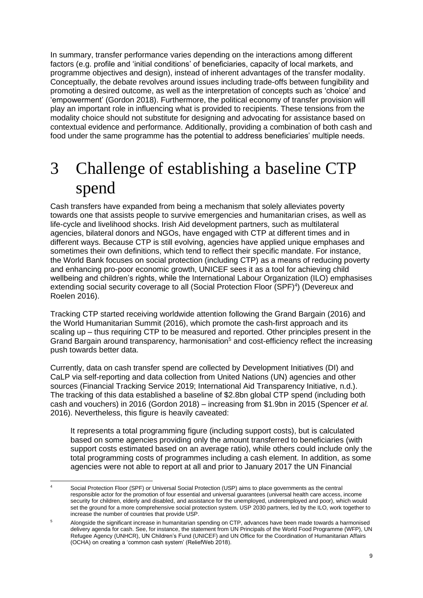In summary, transfer performance varies depending on the interactions among different factors (e.g. profile and 'initial conditions' of beneficiaries, capacity of local markets, and programme objectives and design), instead of inherent advantages of the transfer modality. Conceptually, the debate revolves around issues including trade-offs between fungibility and promoting a desired outcome, as well as the interpretation of concepts such as 'choice' and 'empowerment' (Gordon 2018). Furthermore, the political economy of transfer provision will play an important role in influencing what is provided to recipients. These tensions from the modality choice should not substitute for designing and advocating for assistance based on contextual evidence and performance. Additionally, providing a combination of both cash and food under the same programme has the potential to address beneficiaries' multiple needs.

# 3 Challenge of establishing a baseline CTP spend

Cash transfers have expanded from being a mechanism that solely alleviates poverty towards one that assists people to survive emergencies and humanitarian crises, as well as life-cycle and livelihood shocks. Irish Aid development partners, such as multilateral agencies, bilateral donors and NGOs, have engaged with CTP at different times and in different ways. Because CTP is still evolving, agencies have applied unique emphases and sometimes their own definitions, which tend to reflect their specific mandate. For instance, the World Bank focuses on social protection (including CTP) as a means of reducing poverty and enhancing pro-poor economic growth, UNICEF sees it as a tool for achieving child wellbeing and children's rights, while the International Labour Organization (ILO) emphasises extending social security coverage to all (Social Protection Floor (SPF)<sup>4</sup>) (Devereux and Roelen 2016).

Tracking CTP started receiving worldwide attention following the Grand Bargain (2016) and the World Humanitarian Summit (2016), which promote the cash-first approach and its scaling up – thus requiring CTP to be measured and reported. Other principles present in the Grand Bargain around transparency, harmonisation<sup>5</sup> and cost-efficiency reflect the increasing push towards better data.

Currently, data on cash transfer spend are collected by Development Initiatives (DI) and CaLP via self-reporting and data collection from United Nations (UN) agencies and other sources (Financial Tracking Service 2019; International Aid Transparency Initiative, n.d.). The tracking of this data established a baseline of \$2.8bn global CTP spend (including both cash and vouchers) in 2016 (Gordon 2018) – increasing from \$1.9bn in 2015 (Spencer *et al.* 2016). Nevertheless, this figure is heavily caveated:

It represents a total programming figure (including support costs), but is calculated based on some agencies providing only the amount transferred to beneficiaries (with support costs estimated based on an average ratio), while others could include only the total programming costs of programmes including a cash element. In addition, as some agencies were not able to report at all and prior to January 2017 the UN Financial

<sup>4</sup> Social Protection Floor (SPF) or Universal Social Protection (USP) aims to place governments as the central responsible actor for the promotion of four essential and universal quarantees (universal health care access, income security for children, elderly and disabled, and assistance for the unemployed, underemployed and poor), which would set the ground for a more comprehensive social protection system. USP 2030 partners, led by the ILO, work together to increase the number of countries that provide USP.

<sup>5</sup> Alongside the significant increase in humanitarian spending on CTP, advances have been made towards a harmonised delivery agenda for cash. See, for instance, the statement from UN Principals of the World Food Programme (WFP), UN Refugee Agency (UNHCR), UN Children's Fund (UNICEF) and UN Office for the Coordination of Humanitarian Affairs (OCHA) on creating a 'common cash system' (ReliefWeb 2018).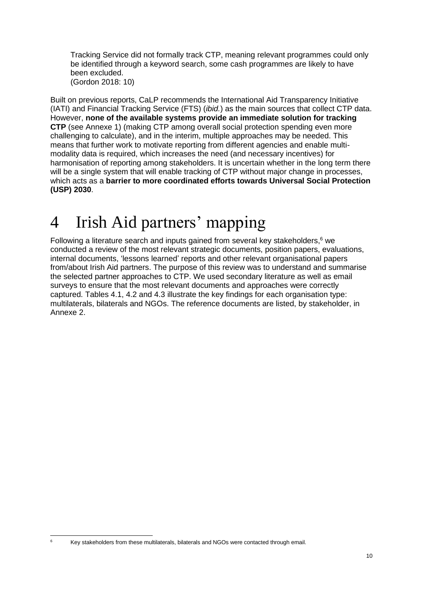Tracking Service did not formally track CTP, meaning relevant programmes could only be identified through a keyword search, some cash programmes are likely to have been excluded. (Gordon 2018: 10)

Built on previous reports, CaLP recommends the International Aid Transparency Initiative (IATI) and Financial Tracking Service (FTS) (*ibid.*) as the main sources that collect CTP data. However, **none of the available systems provide an immediate solution for tracking CTP** (see Annexe 1) (making CTP among overall social protection spending even more challenging to calculate), and in the interim, multiple approaches may be needed. This means that further work to motivate reporting from different agencies and enable multimodality data is required, which increases the need (and necessary incentives) for harmonisation of reporting among stakeholders. It is uncertain whether in the long term there will be a single system that will enable tracking of CTP without major change in processes, which acts as a **barrier to more coordinated efforts towards Universal Social Protection (USP) 2030**.

# 4 Irish Aid partners' mapping

Following a literature search and inputs gained from several key stakeholders, <sup>6</sup> we conducted a review of the most relevant strategic documents, position papers, evaluations, internal documents, 'lessons learned' reports and other relevant organisational papers from/about Irish Aid partners. The purpose of this review was to understand and summarise the selected partner approaches to CTP. We used secondary literature as well as email surveys to ensure that the most relevant documents and approaches were correctly captured. Tables 4.1, 4.2 and 4.3 illustrate the key findings for each organisation type: multilaterals, bilaterals and NGOs. The reference documents are listed, by stakeholder, in Annexe 2.

<sup>6</sup> Key stakeholders from these multilaterals, bilaterals and NGOs were contacted through email.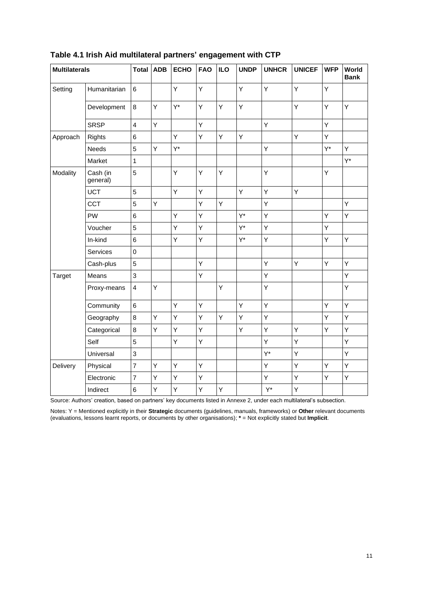| <b>Multilaterals</b> |                      | <b>Total</b>            | <b>ADB</b> | <b>ECHO</b> | <b>FAO</b> | <b>ILO</b> | <b>UNDP</b> | <b>UNHCR</b> | <b>UNICEF</b> | <b>WFP</b> | World<br><b>Bank</b> |
|----------------------|----------------------|-------------------------|------------|-------------|------------|------------|-------------|--------------|---------------|------------|----------------------|
| Setting              | Humanitarian         | 6                       |            | Y           | Υ          |            | Υ           | Υ            | Υ             | Y          |                      |
|                      | Development          | 8                       | Y          | $Y^*$       | Y          | Υ          | Υ           |              | Υ             | Y          | Y                    |
|                      | <b>SRSP</b>          | $\overline{4}$          | Y          |             | Y          |            |             | Y            |               | Y          |                      |
| Approach             | <b>Rights</b>        | 6                       |            | Y           | Y          | Y          | Υ           |              | Υ             | Y          |                      |
|                      | Needs                | 5                       | Y          | $Y^*$       |            |            |             | Y            |               | Y*         | Y                    |
|                      | Market               | $\mathbf{1}$            |            |             |            |            |             |              |               |            | $Y^*$                |
| Modality             | Cash (in<br>general) | $\mathbf 5$             |            | Υ           | Υ          | Υ          |             | Υ            |               | Υ          |                      |
|                      | <b>UCT</b>           | 5                       |            | Υ           | Υ          |            | Υ           | Y            | Y             |            |                      |
|                      | <b>CCT</b>           | 5                       | Υ          |             | Υ          | Υ          |             | Υ            |               |            | Υ                    |
|                      | PW                   | 6                       |            | Υ           | Υ          |            | $Y^*$       | Υ            |               | Υ          | Υ                    |
|                      | Voucher              | 5                       |            | Υ           | Υ          |            | $Y^*$       | Y            |               | Υ          |                      |
|                      | In-kind              | 6                       |            | Υ           | Y          |            | $Y^*$       | Υ            |               | Υ          | Y                    |
|                      | Services             | $\mathsf 0$             |            |             |            |            |             |              |               |            |                      |
|                      | Cash-plus            | 5                       |            |             | Υ          |            |             | Υ            | Υ             | Υ          | Y                    |
| Target               | Means                | $\mathsf 3$             |            |             | Υ          |            |             | Υ            |               |            | Υ                    |
|                      | Proxy-means          | $\overline{\mathbf{4}}$ | Υ          |             |            | Υ          |             | Υ            |               |            | Υ                    |
|                      | Community            | 6                       |            | Υ           | Υ          |            | Υ           | Y            |               | Y          | Y                    |
|                      | Geography            | 8                       | Υ          | Υ           | Υ          | Υ          | Υ           | Υ            |               | Υ          | Υ                    |
|                      | Categorical          | 8                       | Υ          | Υ           | Υ          |            | Υ           | Υ            | Υ             | Υ          | Υ                    |
|                      | Self                 | 5                       |            | Υ           | Υ          |            |             | Υ            | Υ             |            | Υ                    |
|                      | Universal            | 3                       |            |             |            |            |             | Y*           | Υ             |            | Υ                    |
| Delivery             | Physical             | $\overline{7}$          | Υ          | Υ           | Υ          |            |             | Υ            | Υ             | Υ          | Υ                    |
|                      | Electronic           | $\overline{7}$          | Υ          | Υ           | Υ          |            |             | Υ            | Υ             | Υ          | Υ                    |
|                      | Indirect             | 6                       | Υ          | Υ           | Υ          | Υ          |             | $Y^*$        | Υ             |            |                      |

## <span id="page-10-0"></span>**Table 4.1 Irish Aid multilateral partners' engagement with CTP**

Source: Authors' creation, based on partners' key documents listed in Annexe 2, under each multilateral's subsection.

Notes: Y = Mentioned explicitly in their **Strategic** documents (guidelines, manuals, frameworks) or **Other** relevant documents (evaluations, lessons learnt reports, or documents by other organisations); **\*** = Not explicitly stated but **Implicit**.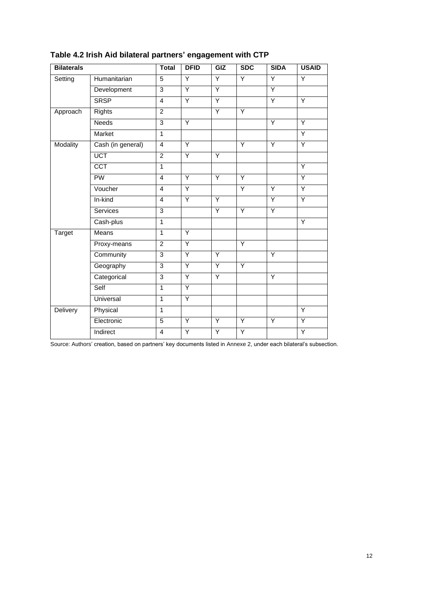| <b>Bilaterals</b> |                   | <b>Total</b>            | <b>DFID</b>    | GIZ | <b>SDC</b>     | <b>SIDA</b>    | <b>USAID</b>   |
|-------------------|-------------------|-------------------------|----------------|-----|----------------|----------------|----------------|
| Setting           | Humanitarian      | 5                       | $\overline{Y}$ | Ÿ   | $\overline{Y}$ | $\overline{Y}$ | Ÿ              |
|                   | Development       | $\overline{3}$          | Ÿ              | Ÿ   |                | $\overline{Y}$ |                |
|                   | <b>SRSP</b>       | 4                       | $\overline{Y}$ | Ÿ   |                | Ÿ              | Y              |
| Approach          | <b>Rights</b>     | $\overline{2}$          |                | Ÿ   | $\overline{Y}$ |                |                |
|                   | <b>Needs</b>      | 3                       | Y              |     |                | Y              | Y              |
|                   | Market            | $\mathbf{1}$            |                |     |                |                | Y              |
| Modality          | Cash (in general) | $\overline{4}$          | Y              |     | Y              | Y              | Y              |
|                   | <b>UCT</b>        | $\overline{2}$          | Y              | Y   |                |                |                |
|                   | <b>CCT</b>        | $\overline{1}$          |                |     |                |                | Y              |
|                   | PW                | $\overline{\mathbf{4}}$ | Y              | Y   | Y              |                | Ÿ              |
|                   | Voucher           | 4                       | $\overline{Y}$ |     | $\overline{Y}$ | $\overline{Y}$ | Ÿ              |
|                   | In-kind           | $\overline{4}$          | Ÿ              | Ÿ   |                | $\overline{Y}$ | Ÿ              |
|                   | Services          | $\overline{3}$          |                | Ÿ   | $\overline{Y}$ | $\overline{Y}$ |                |
|                   | Cash-plus         | $\overline{1}$          |                |     |                |                | $\overline{Y}$ |
| Target            | Means             | $\mathbf{1}$            | Y              |     |                |                |                |
|                   | Proxy-means       | $\overline{2}$          | Ÿ              |     | $\overline{Y}$ |                |                |
|                   | Community         | 3                       | Ÿ              | Y   |                | Ÿ              |                |
|                   | Geography         | $\overline{3}$          | Ÿ              | Ÿ   | $\overline{Y}$ |                |                |
|                   | Categorical       | $\overline{3}$          | $\overline{Y}$ | Ÿ   |                | $\overline{Y}$ |                |
|                   | Self              | $\overline{1}$          | Ÿ              |     |                |                |                |
|                   | <b>Universal</b>  | $\overline{1}$          | Ÿ              |     |                |                |                |
| Delivery          | Physical          | $\mathbf{1}$            |                |     |                |                | Ÿ              |
|                   | Electronic        | 5                       | Y              | Ÿ   | $\overline{Y}$ | $\overline{Y}$ | Ÿ              |
|                   | Indirect          | $\overline{4}$          | Ÿ              | Ÿ   | $\overline{Y}$ |                | Ÿ              |

## <span id="page-11-0"></span>**Table 4.2 Irish Aid bilateral partners' engagement with CTP**

Source: Authors' creation, based on partners' key documents listed in Annexe 2, under each bilateral's subsection.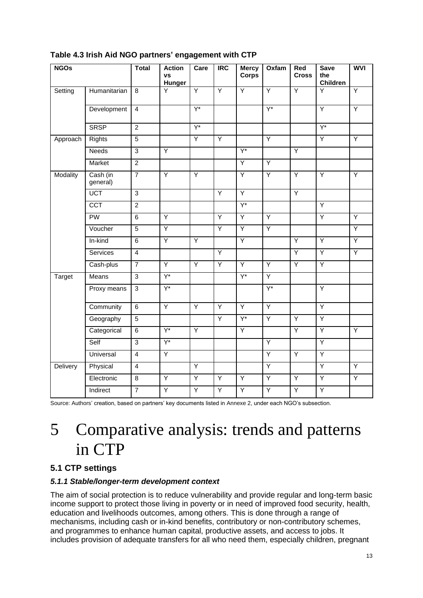| <b>NGOs</b>   |                      | <b>Total</b>   | <b>Action</b><br><b>VS</b><br><b>Hunger</b> | Care             | $\overline{IRC}$ | <b>Mercy</b><br><b>Corps</b> | <b>Oxfam</b>     | Red<br><b>Cross</b> | <b>Save</b><br>the<br><b>Children</b> | <b>WVI</b>     |
|---------------|----------------------|----------------|---------------------------------------------|------------------|------------------|------------------------------|------------------|---------------------|---------------------------------------|----------------|
| Setting       | Humanitarian         | 8              | $\overline{Y}$                              | $\overline{Y}$   | $\overline{Y}$   | $\overline{Y}$               | $\overline{Y}$   | $\overline{Y}$      | Y                                     | $\overline{Y}$ |
|               | Development          | $\overline{4}$ |                                             | $\overline{Y^*}$ |                  |                              | $\overline{Y^*}$ |                     | Ÿ                                     | Ÿ              |
|               | <b>SRSP</b>          | $\overline{2}$ |                                             | $Y^*$            |                  |                              |                  |                     | $Y^*$                                 |                |
| Approach      | Rights               | $\overline{5}$ |                                             | $\overline{Y}$   | $\overline{Y}$   |                              | $\overline{Y}$   |                     | Ÿ                                     | Ÿ              |
|               | <b>Needs</b>         | $\overline{3}$ | $\overline{Y}$                              |                  |                  | Y*                           |                  | $\overline{Y}$      |                                       |                |
|               | Market               | $\overline{2}$ |                                             |                  |                  | $\overline{Y}$               | Y                |                     |                                       |                |
| Modality      | Cash (in<br>general) | $\overline{7}$ | $\overline{Y}$                              | $\overline{Y}$   |                  | $\overline{Y}$               | $\overline{Y}$   | $\overline{Y}$      | Y                                     | $\overline{Y}$ |
|               | <b>UCT</b>           | $\overline{3}$ |                                             |                  | $\overline{Y}$   | $\overline{Y}$               |                  | $\overline{Y}$      |                                       |                |
|               | <b>CCT</b>           | $\overline{2}$ |                                             |                  |                  | $Y^*$                        |                  |                     | Ÿ                                     |                |
|               | <b>PW</b>            | $\overline{6}$ | Y                                           |                  | Y                | Y                            | Y                |                     | Y                                     | Ÿ              |
|               | Voucher              | $\overline{5}$ | $\overline{Y}$                              |                  | $\overline{Y}$   | $\overline{Y}$               | Y                |                     |                                       | Ÿ              |
|               | In-kind              | $\overline{6}$ | $\overline{Y}$                              | $\overline{Y}$   |                  | Ÿ                            |                  | Ÿ                   | $\overline{Y}$                        | Ÿ              |
|               | Services             | $\overline{4}$ |                                             |                  | Υ                |                              |                  | Y                   | Y                                     | $\overline{Y}$ |
|               | Cash-plus            | $\overline{7}$ | $\overline{Y}$                              | Ÿ                | Ÿ                | $\overline{Y}$               | $\overline{Y}$   | Ÿ                   | Ÿ                                     |                |
| <b>Target</b> | Means                | $\overline{3}$ | $Y^*$                                       |                  |                  | $\overline{Y^*}$             | $\overline{Y}$   |                     |                                       |                |
|               | Proxy means          | $\overline{3}$ | $Y^*$                                       |                  |                  |                              | $Y^*$            |                     | Υ                                     |                |
|               | Community            | 6              | Y                                           | Y                | Υ                | Y                            | $\overline{Y}$   |                     | Y                                     |                |
|               | Geography            | $\overline{5}$ |                                             |                  | $\overline{Y}$   | Y*                           | $\overline{Y}$   | Ÿ                   | Ÿ                                     |                |
|               | Categorical          | 6              | $\overline{Y^*}$                            | $\overline{Y}$   |                  | Y                            |                  | Y                   | Y                                     | Y              |
|               | Self                 | $\overline{3}$ | $Y^*$                                       |                  |                  |                              | $\overline{Y}$   |                     | $\overline{Y}$                        |                |
|               | Universal            | $\overline{4}$ | Ÿ                                           |                  |                  |                              | $\overline{Y}$   | $\overline{Y}$      | Ÿ                                     |                |
| Delivery      | Physical             | $\overline{4}$ |                                             | Y                |                  |                              | $\overline{Y}$   |                     | Y                                     | Y              |
|               | Electronic           | 8              | $\overline{Y}$                              | $\overline{Y}$   | Y                | Y                            | $\overline{Y}$   | Y                   | $\overline{Y}$                        | $\overline{Y}$ |
|               | Indirect             | $\overline{7}$ | $\overline{Y}$                              | $\overline{Y}$   | $\overline{Y}$   | Ÿ                            | $\overline{Y}$   | Ÿ                   | $\overline{Y}$                        |                |

## <span id="page-12-0"></span>**Table 4.3 Irish Aid NGO partners' engagement with CTP**

Source: Authors' creation, based on partners' key documents listed in Annexe 2, under each NGO's subsection.

## 5 Comparative analysis: trends and patterns in CTP

## **5.1 CTP settings**

## *5.1.1 Stable/longer-term development context*

The aim of social protection is to reduce vulnerability and provide regular and long-term basic income support to protect those living in poverty or in need of improved food security, health, education and livelihoods outcomes, among others. This is done through a range of mechanisms, including cash or in-kind benefits, contributory or non-contributory schemes, and programmes to enhance human capital, productive assets, and access to jobs. It includes provision of adequate transfers for all who need them, especially children, pregnant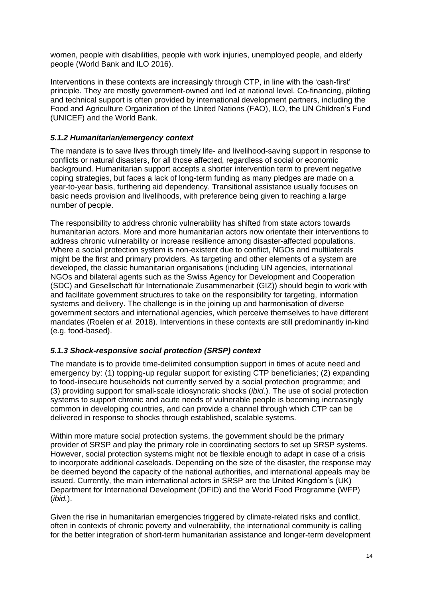women, people with disabilities, people with work injuries, unemployed people, and elderly people (World Bank and ILO 2016).

Interventions in these contexts are increasingly through CTP, in line with the 'cash-first' principle. They are mostly government-owned and led at national level. Co-financing, piloting and technical support is often provided by international development partners, including the Food and Agriculture Organization of the United Nations (FAO), ILO, the UN Children's Fund (UNICEF) and the World Bank.

#### *5.1.2 Humanitarian/emergency context*

The mandate is to save lives through timely life- and livelihood-saving support in response to conflicts or natural disasters, for all those affected, regardless of social or economic background. Humanitarian support accepts a shorter intervention term to prevent negative coping strategies, but faces a lack of long-term funding as many pledges are made on a year-to-year basis, furthering aid dependency. Transitional assistance usually focuses on basic needs provision and livelihoods, with preference being given to reaching a large number of people.

The responsibility to address chronic vulnerability has shifted from state actors towards humanitarian actors. More and more humanitarian actors now orientate their interventions to address chronic vulnerability or increase resilience among disaster-affected populations. Where a social protection system is non-existent due to conflict, NGOs and multilaterals might be the first and primary providers. As targeting and other elements of a system are developed, the classic humanitarian organisations (including UN agencies, international NGOs and bilateral agents such as the Swiss Agency for Development and Cooperation (SDC) and Gesellschaft für Internationale Zusammenarbeit (GIZ)) should begin to work with and facilitate government structures to take on the responsibility for targeting, information systems and delivery. The challenge is in the joining up and harmonisation of diverse government sectors and international agencies, which perceive themselves to have different mandates (Roelen *et al.* 2018). Interventions in these contexts are still predominantly in-kind (e.g. food-based).

### *5.1.3 Shock-responsive social protection (SRSP) context*

The mandate is to provide time-delimited consumption support in times of acute need and emergency by: (1) topping-up regular support for existing CTP beneficiaries; (2) expanding to food-insecure households not currently served by a social protection programme; and (3) providing support for small-scale idiosyncratic shocks (*ibid*.). The use of social protection systems to support chronic and acute needs of vulnerable people is becoming increasingly common in developing countries, and can provide a channel through which CTP can be delivered in response to shocks through established, scalable systems.

Within more mature social protection systems, the government should be the primary provider of SRSP and play the primary role in coordinating sectors to set up SRSP systems. However, social protection systems might not be flexible enough to adapt in case of a crisis to incorporate additional caseloads. Depending on the size of the disaster, the response may be deemed beyond the capacity of the national authorities, and international appeals may be issued. Currently, the main international actors in SRSP are the United Kingdom's (UK) Department for International Development (DFID) and the World Food Programme (WFP) (*ibid.*).

Given the rise in humanitarian emergencies triggered by climate-related risks and conflict, often in contexts of chronic poverty and vulnerability, the international community is calling for the better integration of short-term humanitarian assistance and longer-term development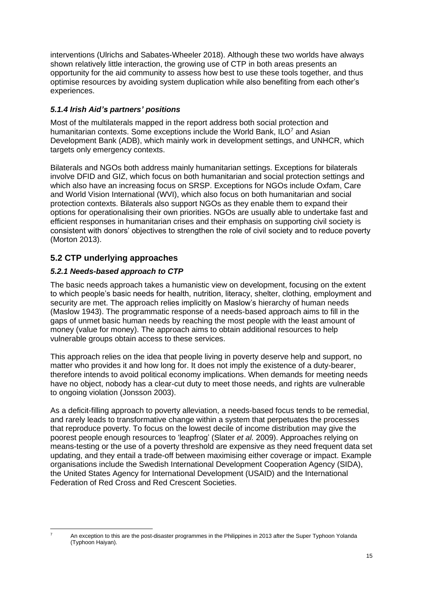interventions (Ulrichs and Sabates-Wheeler 2018). Although these two worlds have always shown relatively little interaction, the growing use of CTP in both areas presents an opportunity for the aid community to assess how best to use these tools together, and thus optimise resources by avoiding system duplication while also benefiting from each other's experiences.

## *5.1.4 Irish Aid's partners' positions*

Most of the multilaterals mapped in the report address both social protection and humanitarian contexts. Some exceptions include the World Bank,  $ILO<sup>7</sup>$  and Asian Development Bank (ADB), which mainly work in development settings, and UNHCR, which targets only emergency contexts.

Bilaterals and NGOs both address mainly humanitarian settings. Exceptions for bilaterals involve DFID and GIZ, which focus on both humanitarian and social protection settings and which also have an increasing focus on SRSP. Exceptions for NGOs include Oxfam, Care and World Vision International (WVI), which also focus on both humanitarian and social protection contexts. Bilaterals also support NGOs as they enable them to expand their options for operationalising their own priorities. NGOs are usually able to undertake fast and efficient responses in humanitarian crises and their emphasis on supporting civil society is consistent with donors' objectives to strengthen the role of civil society and to reduce poverty (Morton 2013).

## **5.2 CTP underlying approaches**

## *5.2.1 Needs-based approach to CTP*

The basic needs approach takes a humanistic view on development, focusing on the extent to which people's basic needs for health, nutrition, literacy, shelter, clothing, employment and security are met. The approach relies implicitly on Maslow's hierarchy of human needs (Maslow 1943). The programmatic response of a needs-based approach aims to fill in the gaps of unmet basic human needs by reaching the most people with the least amount of money (value for money). The approach aims to obtain additional resources to help vulnerable groups obtain access to these services.

This approach relies on the idea that people living in poverty deserve help and support, no matter who provides it and how long for. It does not imply the existence of a duty-bearer, therefore intends to avoid political economy implications. When demands for meeting needs have no object, nobody has a clear-cut duty to meet those needs, and rights are vulnerable to ongoing violation (Jonsson 2003).

As a deficit-filling approach to poverty alleviation, a needs-based focus tends to be remedial, and rarely leads to transformative change within a system that perpetuates the processes that reproduce poverty. To focus on the lowest decile of income distribution may give the poorest people enough resources to 'leapfrog' (Slater *et al.* 2009). Approaches relying on means-testing or the use of a poverty threshold are expensive as they need frequent data set updating, and they entail a trade-off between maximising either coverage or impact. Example organisations include the Swedish International Development Cooperation Agency (SIDA), the United States Agency for International Development (USAID) and the International Federation of Red Cross and Red Crescent Societies.

<sup>7</sup> An exception to this are the post-disaster programmes in the Philippines in 2013 after the Super Typhoon Yolanda (Typhoon Haiyan).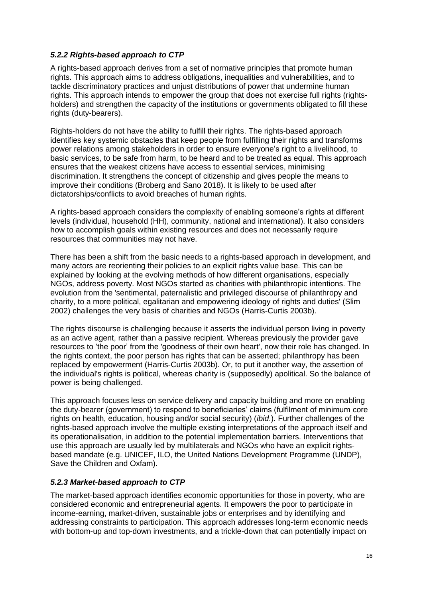#### *5.2.2 Rights-based approach to CTP*

A rights-based approach derives from a set of normative principles that promote human rights. This approach aims to address obligations, inequalities and vulnerabilities, and to tackle discriminatory practices and unjust distributions of power that undermine human rights. This approach intends to empower the group that does not exercise full rights (rightsholders) and strengthen the capacity of the institutions or governments obligated to fill these rights (duty-bearers).

Rights-holders do not have the ability to fulfill their rights. The rights-based approach identifies key systemic obstacles that keep people from fulfilling their rights and transforms power relations among stakeholders in order to ensure everyone's right to a livelihood, to basic services, to be safe from harm, to be heard and to be treated as equal. This approach ensures that the weakest citizens have access to essential services, minimising discrimination. It strengthens the concept of citizenship and gives people the means to improve their conditions (Broberg and Sano 2018). It is likely to be used after dictatorships/conflicts to avoid breaches of human rights.

A rights-based approach considers the complexity of enabling someone's rights at different levels (individual, household (HH), community, national and international). It also considers how to accomplish goals within existing resources and does not necessarily require resources that communities may not have.

There has been a shift from the basic needs to a rights-based approach in development, and many actors are reorienting their policies to an explicit rights value base. This can be explained by looking at the evolving methods of how different organisations, especially NGOs, address poverty. Most NGOs started as charities with philanthropic intentions. The evolution from the 'sentimental, paternalistic and privileged discourse of philanthropy and charity, to a more political, egalitarian and empowering ideology of rights and duties' (Slim 2002) challenges the very basis of charities and NGOs (Harris-Curtis 2003b).

The rights discourse is challenging because it asserts the individual person living in poverty as an active agent, rather than a passive recipient. Whereas previously the provider gave resources to 'the poor' from the 'goodness of their own heart', now their role has changed. In the rights context, the poor person has rights that can be asserted; philanthropy has been replaced by empowerment (Harris-Curtis 2003b). Or, to put it another way, the assertion of the individual's rights is political, whereas charity is (supposedly) apolitical. So the balance of power is being challenged.

This approach focuses less on service delivery and capacity building and more on enabling the duty-bearer (government) to respond to beneficiaries' claims (fulfilment of minimum core rights on health, education, housing and/or social security) (*ibid*.). Further challenges of the rights-based approach involve the multiple existing interpretations of the approach itself and its operationalisation, in addition to the potential implementation barriers. Interventions that use this approach are usually led by multilaterals and NGOs who have an explicit rightsbased mandate (e.g. UNICEF, ILO, the United Nations Development Programme (UNDP), Save the Children and Oxfam).

### *5.2.3 Market-based approach to CTP*

The market-based approach identifies economic opportunities for those in poverty, who are considered economic and entrepreneurial agents. It empowers the poor to participate in income-earning, market-driven, sustainable jobs or enterprises and by identifying and addressing constraints to participation. This approach addresses long-term economic needs with bottom-up and top-down investments, and a trickle-down that can potentially impact on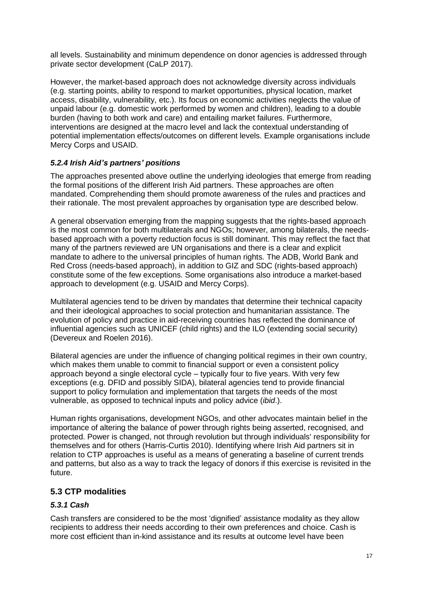all levels. Sustainability and minimum dependence on donor agencies is addressed through private sector development (CaLP 2017).

However, the market-based approach does not acknowledge diversity across individuals (e.g. starting points, ability to respond to market opportunities, physical location, market access, disability, vulnerability, etc.). Its focus on economic activities neglects the value of unpaid labour (e.g. domestic work performed by women and children), leading to a double burden (having to both work and care) and entailing market failures. Furthermore, interventions are designed at the macro level and lack the contextual understanding of potential implementation effects/outcomes on different levels. Example organisations include Mercy Corps and USAID.

### *5.2.4 Irish Aid's partners' positions*

The approaches presented above outline the underlying ideologies that emerge from reading the formal positions of the different Irish Aid partners. These approaches are often mandated. Comprehending them should promote awareness of the rules and practices and their rationale. The most prevalent approaches by organisation type are described below.

A general observation emerging from the mapping suggests that the rights-based approach is the most common for both multilaterals and NGOs; however, among bilaterals, the needsbased approach with a poverty reduction focus is still dominant. This may reflect the fact that many of the partners reviewed are UN organisations and there is a clear and explicit mandate to adhere to the universal principles of human rights. The ADB, World Bank and Red Cross (needs-based approach), in addition to GIZ and SDC (rights-based approach) constitute some of the few exceptions. Some organisations also introduce a market-based approach to development (e.g. USAID and Mercy Corps).

Multilateral agencies tend to be driven by mandates that determine their technical capacity and their ideological approaches to social protection and humanitarian assistance. The evolution of policy and practice in aid-receiving countries has reflected the dominance of influential agencies such as UNICEF (child rights) and the ILO (extending social security) (Devereux and Roelen 2016).

Bilateral agencies are under the influence of changing political regimes in their own country, which makes them unable to commit to financial support or even a consistent policy approach beyond a single electoral cycle – typically four to five years. With very few exceptions (e.g. DFID and possibly SIDA), bilateral agencies tend to provide financial support to policy formulation and implementation that targets the needs of the most vulnerable, as opposed to technical inputs and policy advice (*ibid*.).

Human rights organisations, development NGOs, and other advocates maintain belief in the importance of altering the balance of power through rights being asserted, recognised, and protected. Power is changed, not through revolution but through individuals' responsibility for themselves and for others (Harris-Curtis 2010). Identifying where Irish Aid partners sit in relation to CTP approaches is useful as a means of generating a baseline of current trends and patterns, but also as a way to track the legacy of donors if this exercise is revisited in the future.

### **5.3 CTP modalities**

#### *5.3.1 Cash*

Cash transfers are considered to be the most 'dignified' assistance modality as they allow recipients to address their needs according to their own preferences and choice. Cash is more cost efficient than in-kind assistance and its results at outcome level have been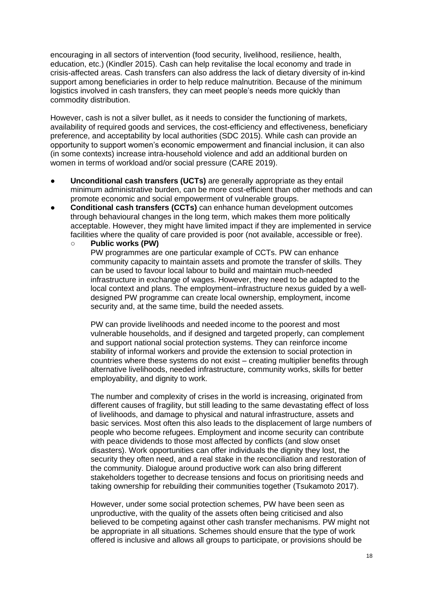encouraging in all sectors of intervention (food security, livelihood, resilience, health, education, etc.) (Kindler 2015). Cash can help revitalise the local economy and trade in crisis-affected areas. Cash transfers can also address the lack of dietary diversity of in-kind support among beneficiaries in order to help reduce malnutrition. Because of the minimum logistics involved in cash transfers, they can meet people's needs more quickly than commodity distribution.

However, cash is not a silver bullet, as it needs to consider the functioning of markets, availability of required goods and services, the cost-efficiency and effectiveness, beneficiary preference, and acceptability by local authorities (SDC 2015). While cash can provide an opportunity to support women's economic empowerment and financial inclusion, it can also (in some contexts) increase intra-household violence and add an additional burden on women in terms of workload and/or social pressure (CARE 2019).

- **Unconditional cash transfers (UCTs)** are generally appropriate as they entail minimum administrative burden, can be more cost-efficient than other methods and can promote economic and social empowerment of vulnerable groups.
- **Conditional cash transfers (CCTs)** can enhance human development outcomes through behavioural changes in the long term, which makes them more politically acceptable. However, they might have limited impact if they are implemented in service facilities where the quality of care provided is poor (not available, accessible or free).
	- **Public works (PW)**  PW programmes are one particular example of CCTs. PW can enhance community capacity to maintain assets and promote the transfer of skills. They can be used to favour local labour to build and maintain much-needed infrastructure in exchange of wages. However, they need to be adapted to the local context and plans. The employment–infrastructure nexus guided by a welldesigned PW programme can create local ownership, employment, income security and, at the same time, build the needed assets.

PW can provide livelihoods and needed income to the poorest and most vulnerable households, and if designed and targeted properly, can complement and support national social protection systems. They can reinforce income stability of informal workers and provide the extension to social protection in countries where these systems do not exist – creating multiplier benefits through alternative livelihoods, needed infrastructure, community works, skills for better employability, and dignity to work.

The number and complexity of crises in the world is increasing, originated from different causes of fragility, but still leading to the same devastating effect of loss of livelihoods, and damage to physical and natural infrastructure, assets and basic services. Most often this also leads to the displacement of large numbers of people who become refugees. Employment and income security can contribute with peace dividends to those most affected by conflicts (and slow onset disasters). Work opportunities can offer individuals the dignity they lost, the security they often need, and a real stake in the reconciliation and restoration of the community. Dialogue around productive work can also bring different stakeholders together to decrease tensions and focus on prioritising needs and taking ownership for rebuilding their communities together (Tsukamoto 2017).

However, under some social protection schemes, PW have been seen as unproductive, with the quality of the assets often being criticised and also believed to be competing against other cash transfer mechanisms. PW might not be appropriate in all situations. Schemes should ensure that the type of work offered is inclusive and allows all groups to participate, or provisions should be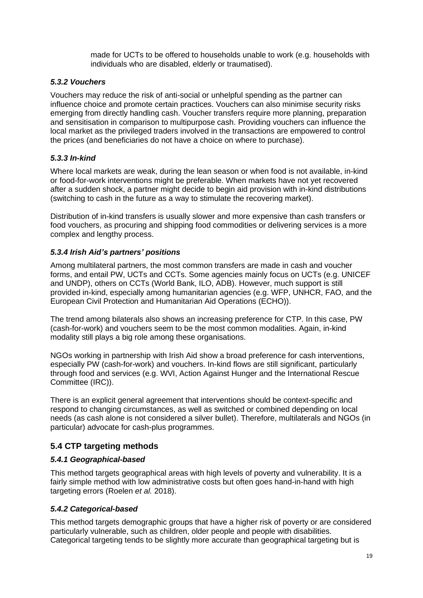made for UCTs to be offered to households unable to work (e.g. households with individuals who are disabled, elderly or traumatised).

#### *5.3.2 Vouchers*

Vouchers may reduce the risk of anti-social or unhelpful spending as the partner can influence choice and promote certain practices. Vouchers can also minimise security risks emerging from directly handling cash. Voucher transfers require more planning, preparation and sensitisation in comparison to multipurpose cash. Providing vouchers can influence the local market as the privileged traders involved in the transactions are empowered to control the prices (and beneficiaries do not have a choice on where to purchase).

#### *5.3.3 In-kind*

Where local markets are weak, during the lean season or when food is not available, in-kind or food-for-work interventions might be preferable. When markets have not yet recovered after a sudden shock, a partner might decide to begin aid provision with in-kind distributions (switching to cash in the future as a way to stimulate the recovering market).

Distribution of in-kind transfers is usually slower and more expensive than cash transfers or food vouchers, as procuring and shipping food commodities or delivering services is a more complex and lengthy process.

#### *5.3.4 Irish Aid's partners' positions*

Among multilateral partners, the most common transfers are made in cash and voucher forms, and entail PW, UCTs and CCTs. Some agencies mainly focus on UCTs (e.g. UNICEF and UNDP), others on CCTs (World Bank, ILO, ADB). However, much support is still provided in-kind, especially among humanitarian agencies (e.g. WFP, UNHCR, FAO, and the European Civil Protection and Humanitarian Aid Operations (ECHO)).

The trend among bilaterals also shows an increasing preference for CTP. In this case, PW (cash-for-work) and vouchers seem to be the most common modalities. Again, in-kind modality still plays a big role among these organisations.

NGOs working in partnership with Irish Aid show a broad preference for cash interventions, especially PW (cash-for-work) and vouchers. In-kind flows are still significant, particularly through food and services (e.g. WVI, Action Against Hunger and the International Rescue Committee (IRC)).

There is an explicit general agreement that interventions should be context-specific and respond to changing circumstances, as well as switched or combined depending on local needs (as cash alone is not considered a silver bullet). Therefore, multilaterals and NGOs (in particular) advocate for cash-plus programmes.

## **5.4 CTP targeting methods**

#### *5.4.1 Geographical-based*

This method targets geographical areas with high levels of poverty and vulnerability. It is a fairly simple method with low administrative costs but often goes hand-in-hand with high targeting errors (Roelen *et al.* 2018).

### *5.4.2 Categorical-based*

This method targets demographic groups that have a higher risk of poverty or are considered particularly vulnerable, such as children, older people and people with disabilities. Categorical targeting tends to be slightly more accurate than geographical targeting but is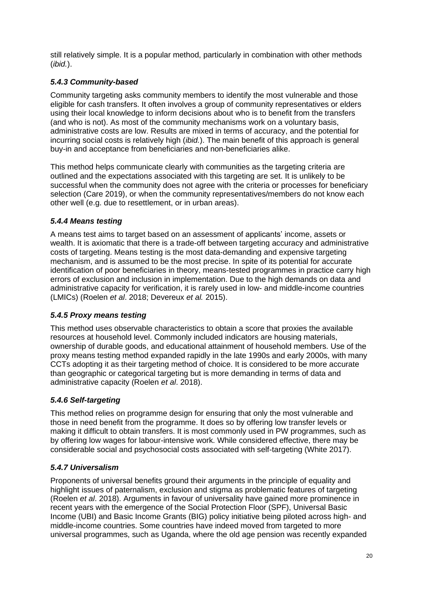still relatively simple. It is a popular method, particularly in combination with other methods (*ibid.*).

## *5.4.3 Community-based*

Community targeting asks community members to identify the most vulnerable and those eligible for cash transfers. It often involves a group of community representatives or elders using their local knowledge to inform decisions about who is to benefit from the transfers (and who is not). As most of the community mechanisms work on a voluntary basis, administrative costs are low. Results are mixed in terms of accuracy, and the potential for incurring social costs is relatively high (*ibid.*). The main benefit of this approach is general buy-in and acceptance from beneficiaries and non-beneficiaries alike.

This method helps communicate clearly with communities as the targeting criteria are outlined and the expectations associated with this targeting are set. It is unlikely to be successful when the community does not agree with the criteria or processes for beneficiary selection (Care 2019), or when the community representatives/members do not know each other well (e.g. due to resettlement, or in urban areas).

### *5.4.4 Means testing*

A means test aims to target based on an assessment of applicants' income, assets or wealth. It is axiomatic that there is a trade-off between targeting accuracy and administrative costs of targeting. Means testing is the most data-demanding and expensive targeting mechanism, and is assumed to be the most precise. In spite of its potential for accurate identification of poor beneficiaries in theory, means-tested programmes in practice carry high errors of exclusion and inclusion in implementation. Due to the high demands on data and administrative capacity for verification, it is rarely used in low- and middle-income countries (LMICs) (Roelen *et al*. 2018; Devereux *et al.* 2015).

### *5.4.5 Proxy means testing*

This method uses observable characteristics to obtain a score that proxies the available resources at household level. Commonly included indicators are housing materials, ownership of durable goods, and educational attainment of household members. Use of the proxy means testing method expanded rapidly in the late 1990s and early 2000s, with many CCTs adopting it as their targeting method of choice. It is considered to be more accurate than geographic or categorical targeting but is more demanding in terms of data and administrative capacity (Roelen *et al*. 2018).

### *5.4.6 Self-targeting*

This method relies on programme design for ensuring that only the most vulnerable and those in need benefit from the programme. It does so by offering low transfer levels or making it difficult to obtain transfers. It is most commonly used in PW programmes, such as by offering low wages for labour-intensive work. While considered effective, there may be considerable social and psychosocial costs associated with self-targeting (White 2017).

### *5.4.7 Universalism*

Proponents of universal benefits ground their arguments in the principle of equality and highlight issues of paternalism, exclusion and stigma as problematic features of targeting (Roelen *et al*. 2018). Arguments in favour of universality have gained more prominence in recent years with the emergence of the Social Protection Floor (SPF), Universal Basic Income (UBI) and Basic Income Grants (BIG) policy initiative being piloted across high- and middle-income countries. Some countries have indeed moved from targeted to more universal programmes, such as Uganda, where the old age pension was recently expanded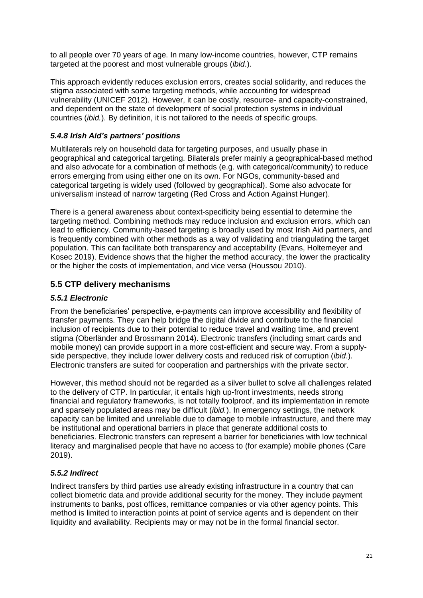to all people over 70 years of age. In many low-income countries, however, CTP remains targeted at the poorest and most vulnerable groups (*ibid*.).

This approach evidently reduces exclusion errors, creates social solidarity, and reduces the stigma associated with some targeting methods, while accounting for widespread vulnerability (UNICEF 2012). However, it can be costly, resource- and capacity-constrained, and dependent on the state of development of social protection systems in individual countries (*ibid.*). By definition, it is not tailored to the needs of specific groups.

## *5.4.8 Irish Aid's partners' positions*

Multilaterals rely on household data for targeting purposes, and usually phase in geographical and categorical targeting. Bilaterals prefer mainly a geographical-based method and also advocate for a combination of methods (e.g. with categorical/community) to reduce errors emerging from using either one on its own. For NGOs, community-based and categorical targeting is widely used (followed by geographical). Some also advocate for universalism instead of narrow targeting (Red Cross and Action Against Hunger).

There is a general awareness about context-specificity being essential to determine the targeting method. Combining methods may reduce inclusion and exclusion errors, which can lead to efficiency. Community-based targeting is broadly used by most Irish Aid partners, and is frequently combined with other methods as a way of validating and triangulating the target population. This can facilitate both transparency and acceptability (Evans, Holtemeyer and Kosec 2019). Evidence shows that the higher the method accuracy, the lower the practicality or the higher the costs of implementation, and vice versa (Houssou 2010).

## **5.5 CTP delivery mechanisms**

## *5.5.1 Electronic*

From the beneficiaries' perspective, e-payments can improve accessibility and flexibility of transfer payments. They can help bridge the digital divide and contribute to the financial inclusion of recipients due to their potential to reduce travel and waiting time, and prevent stigma (Oberländer and Brossmann 2014). Electronic transfers (including smart cards and mobile money) can provide support in a more cost-efficient and secure way. From a supplyside perspective, they include lower delivery costs and reduced risk of corruption (*ibid*.). Electronic transfers are suited for cooperation and partnerships with the private sector.

However, this method should not be regarded as a silver bullet to solve all challenges related to the delivery of CTP. In particular, it entails high up-front investments, needs strong financial and regulatory frameworks, is not totally foolproof, and its implementation in remote and sparsely populated areas may be difficult (*ibid.*). In emergency settings, the network capacity can be limited and unreliable due to damage to mobile infrastructure, and there may be institutional and operational barriers in place that generate additional costs to beneficiaries. Electronic transfers can represent a barrier for beneficiaries with low technical literacy and marginalised people that have no access to (for example) mobile phones (Care 2019).

### *5.5.2 Indirect*

Indirect transfers by third parties use already existing infrastructure in a country that can collect biometric data and provide additional security for the money. They include payment instruments to banks, post offices, remittance companies or via other agency points. This method is limited to interaction points at point of service agents and is dependent on their liquidity and availability. Recipients may or may not be in the formal financial sector.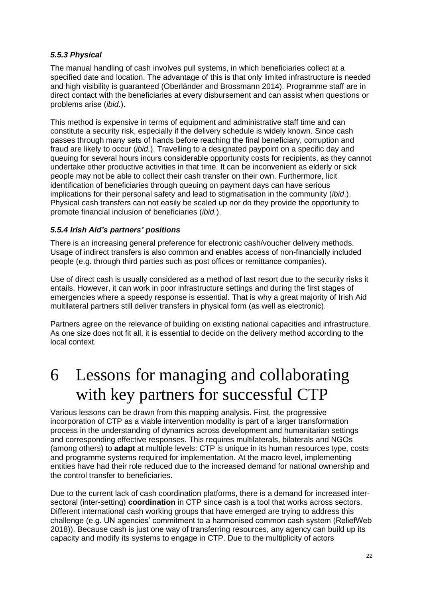#### *5.5.3 Physical*

The manual handling of cash involves pull systems, in which beneficiaries collect at a specified date and location. The advantage of this is that only limited infrastructure is needed and high visibility is guaranteed (Oberländer and Brossmann 2014). Programme staff are in direct contact with the beneficiaries at every disbursement and can assist when questions or problems arise (*ibid*.).

This method is expensive in terms of equipment and administrative staff time and can constitute a security risk, especially if the delivery schedule is widely known. Since cash passes through many sets of hands before reaching the final beneficiary, corruption and fraud are likely to occur (*ibid.*). Travelling to a designated paypoint on a specific day and queuing for several hours incurs considerable opportunity costs for recipients, as they cannot undertake other productive activities in that time. It can be inconvenient as elderly or sick people may not be able to collect their cash transfer on their own. Furthermore, licit identification of beneficiaries through queuing on payment days can have serious implications for their personal safety and lead to stigmatisation in the community (*ibid*.). Physical cash transfers can not easily be scaled up nor do they provide the opportunity to promote financial inclusion of beneficiaries (*ibid.*).

### *5.5.4 Irish Aid's partners' positions*

There is an increasing general preference for electronic cash/voucher delivery methods. Usage of indirect transfers is also common and enables access of non-financially included people (e.g. through third parties such as post offices or remittance companies).

Use of direct cash is usually considered as a method of last resort due to the security risks it entails. However, it can work in poor infrastructure settings and during the first stages of emergencies where a speedy response is essential. That is why a great majority of Irish Aid multilateral partners still deliver transfers in physical form (as well as electronic).

Partners agree on the relevance of building on existing national capacities and infrastructure. As one size does not fit all, it is essential to decide on the delivery method according to the local context.

## 6 Lessons for managing and collaborating with key partners for successful CTP

Various lessons can be drawn from this mapping analysis. First, the progressive incorporation of CTP as a viable intervention modality is part of a larger transformation process in the understanding of dynamics across development and humanitarian settings and corresponding effective responses. This requires multilaterals, bilaterals and NGOs (among others) to **adapt** at multiple levels: CTP is unique in its human resources type, costs and programme systems required for implementation. At the macro level, implementing entities have had their role reduced due to the increased demand for national ownership and the control transfer to beneficiaries.

Due to the current lack of cash coordination platforms, there is a demand for increased intersectoral (inter-setting) **coordination** in CTP since cash is a tool that works across sectors. Different international cash working groups that have emerged are trying to address this challenge (e.g. UN agencies' commitment to a harmonised common cash system (ReliefWeb 2018)). Because cash is just one way of transferring resources, any agency can build up its capacity and modify its systems to engage in CTP. Due to the multiplicity of actors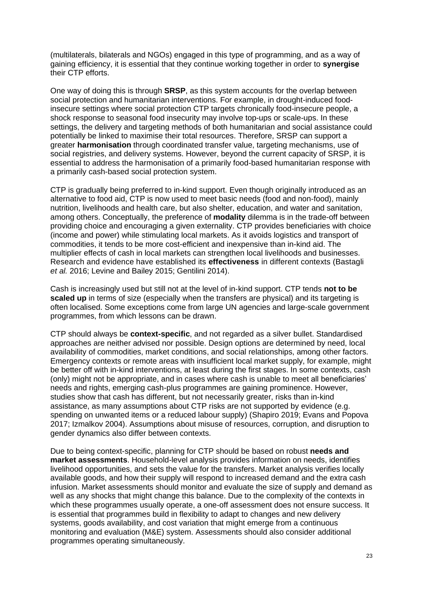(multilaterals, bilaterals and NGOs) engaged in this type of programming, and as a way of gaining efficiency, it is essential that they continue working together in order to **synergise**  their CTP efforts.

One way of doing this is through **SRSP**, as this system accounts for the overlap between social protection and humanitarian interventions. For example, in drought-induced foodinsecure settings where social protection CTP targets chronically food-insecure people, a shock response to seasonal food insecurity may involve top-ups or scale-ups. In these settings, the delivery and targeting methods of both humanitarian and social assistance could potentially be linked to maximise their total resources. Therefore, SRSP can support a greater **harmonisation** through coordinated transfer value, targeting mechanisms, use of social registries, and delivery systems. However, beyond the current capacity of SRSP, it is essential to address the harmonisation of a primarily food-based humanitarian response with a primarily cash-based social protection system.

CTP is gradually being preferred to in‐kind support. Even though originally introduced as an alternative to food aid, CTP is now used to meet basic needs (food and non‐food), mainly nutrition, livelihoods and health care, but also shelter, education, and water and sanitation, among others. Conceptually, the preference of **modality** dilemma is in the trade-off between providing choice and encouraging a given externality. CTP provides beneficiaries with choice (income and power) while stimulating local markets. As it avoids logistics and transport of commodities, it tends to be more cost-efficient and inexpensive than in-kind aid. The multiplier effects of cash in local markets can strengthen local livelihoods and businesses. Research and evidence have established its **effectiveness** in different contexts (Bastagli *et al.* 2016; Levine and Bailey 2015; Gentilini 2014).

Cash is increasingly used but still not at the level of in‐kind support. CTP tends **not to be scaled up** in terms of size (especially when the transfers are physical) and its targeting is often localised. Some exceptions come from large UN agencies and large-scale government programmes, from which lessons can be drawn.

CTP should always be **context-specific**, and not regarded as a silver bullet. Standardised approaches are neither advised nor possible. Design options are determined by need, local availability of commodities, market conditions, and social relationships, among other factors. Emergency contexts or remote areas with insufficient local market supply, for example, might be better off with in-kind interventions, at least during the first stages. In some contexts, cash (only) might not be appropriate, and in cases where cash is unable to meet all beneficiaries' needs and rights, emerging cash-plus programmes are gaining prominence. However, studies show that cash has different, but not necessarily greater, risks than in‐kind assistance, as many assumptions about CTP risks are not supported by evidence (e.g. spending on unwanted items or a reduced labour supply) (Shapiro 2019; Evans and Popova 2017; Izmalkov 2004). Assumptions about misuse of resources, corruption, and disruption to gender dynamics also differ between contexts.

Due to being context-specific, planning for CTP should be based on robust **needs and market assessments**. Household-level analysis provides information on needs, identifies livelihood opportunities, and sets the value for the transfers. Market analysis verifies locally available goods, and how their supply will respond to increased demand and the extra cash infusion. Market assessments should monitor and evaluate the size of supply and demand as well as any shocks that might change this balance. Due to the complexity of the contexts in which these programmes usually operate, a one-off assessment does not ensure success. It is essential that programmes build in flexibility to adapt to changes and new delivery systems, goods availability, and cost variation that might emerge from a continuous monitoring and evaluation (M&E) system. Assessments should also consider additional programmes operating simultaneously.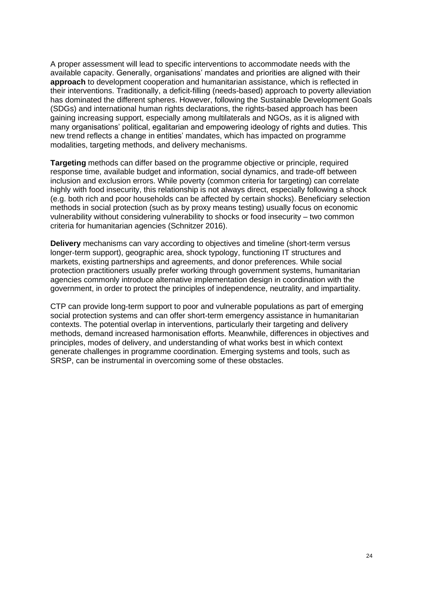A proper assessment will lead to specific interventions to accommodate needs with the available capacity. Generally, organisations' mandates and priorities are aligned with their **approach** to development cooperation and humanitarian assistance, which is reflected in their interventions. Traditionally, a deficit-filling (needs-based) approach to poverty alleviation has dominated the different spheres. However, following the Sustainable Development Goals (SDGs) and international human rights declarations, the rights-based approach has been gaining increasing support, especially among multilaterals and NGOs, as it is aligned with many organisations' political, egalitarian and empowering ideology of rights and duties. This new trend reflects a change in entities' mandates, which has impacted on programme modalities, targeting methods, and delivery mechanisms.

**Targeting** methods can differ based on the programme objective or principle, required response time, available budget and information, social dynamics, and trade-off between inclusion and exclusion errors. While poverty (common criteria for targeting) can correlate highly with food insecurity, this relationship is not always direct, especially following a shock (e.g. both rich and poor households can be affected by certain shocks). Beneficiary selection methods in social protection (such as by proxy means testing) usually focus on economic vulnerability without considering vulnerability to shocks or food insecurity – two common criteria for humanitarian agencies (Schnitzer 2016).

**Delivery** mechanisms can vary according to objectives and timeline (short-term versus longer-term support), geographic area, shock typology, functioning IT structures and markets, existing partnerships and agreements, and donor preferences. While social protection practitioners usually prefer working through government systems, humanitarian agencies commonly introduce alternative implementation design in coordination with the government, in order to protect the principles of independence, neutrality, and impartiality.

CTP can provide long-term support to poor and vulnerable populations as part of emerging social protection systems and can offer short-term emergency assistance in humanitarian contexts. The potential overlap in interventions, particularly their targeting and delivery methods, demand increased harmonisation efforts. Meanwhile, differences in objectives and principles, modes of delivery, and understanding of what works best in which context generate challenges in programme coordination. Emerging systems and tools, such as SRSP, can be instrumental in overcoming some of these obstacles.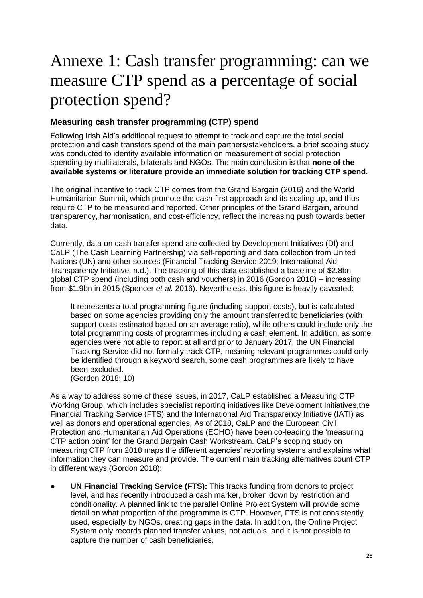# Annexe 1: Cash transfer programming: can we measure CTP spend as a percentage of social protection spend?

## **Measuring cash transfer programming (CTP) spend**

Following Irish Aid's additional request to attempt to track and capture the total social protection and cash transfers spend of the main partners/stakeholders, a brief scoping study was conducted to identify available information on measurement of social protection spending by multilaterals, bilaterals and NGOs. The main conclusion is that **none of the available systems or literature provide an immediate solution for tracking CTP spend**.

The original incentive to track CTP comes from the Grand Bargain (2016) and the World Humanitarian Summit, which promote the cash-first approach and its scaling up, and thus require CTP to be measured and reported. Other principles of the Grand Bargain, around transparency, harmonisation, and cost-efficiency, reflect the increasing push towards better data.

Currently, data on cash transfer spend are collected by Development Initiatives (DI) and CaLP (The Cash Learning Partnership) via self-reporting and data collection from United Nations (UN) and other sources (Financial Tracking Service 2019; International Aid Transparency Initiative, n.d.). The tracking of this data established a baseline of \$2.8bn global CTP spend (including both cash and vouchers) in 2016 (Gordon 2018) – increasing from \$1.9bn in 2015 (Spencer *et al.* 2016). Nevertheless, this figure is heavily caveated:

It represents a total programming figure (including support costs), but is calculated based on some agencies providing only the amount transferred to beneficiaries (with support costs estimated based on an average ratio), while others could include only the total programming costs of programmes including a cash element. In addition, as some agencies were not able to report at all and prior to January 2017, the UN Financial Tracking Service did not formally track CTP, meaning relevant programmes could only be identified through a keyword search, some cash programmes are likely to have been excluded.

(Gordon 2018: 10)

As a way to address some of these issues, in 2017, CaLP established a Measuring CTP Working Group, which includes specialist reporting initiatives like Development Initiatives,the Financial Tracking Service (FTS) and the International Aid Transparency Initiative (IATI) as well as donors and operational agencies. As of 2018, CaLP and the European Civil Protection and Humanitarian Aid Operations (ECHO) have been co-leading the 'measuring CTP action point' for the Grand Bargain Cash Workstream. CaLP's scoping study on measuring CTP from 2018 maps the different agencies' reporting systems and explains what information they can measure and provide. The current main tracking alternatives count CTP in different ways (Gordon 2018):

**UN Financial Tracking Service (FTS):** This tracks funding from donors to project level, and has recently introduced a cash marker, broken down by restriction and conditionality. A planned link to the parallel Online Project System will provide some detail on what proportion of the programme is CTP. However, FTS is not consistently used, especially by NGOs, creating gaps in the data. In addition, the Online Project System only records planned transfer values, not actuals, and it is not possible to capture the number of cash beneficiaries.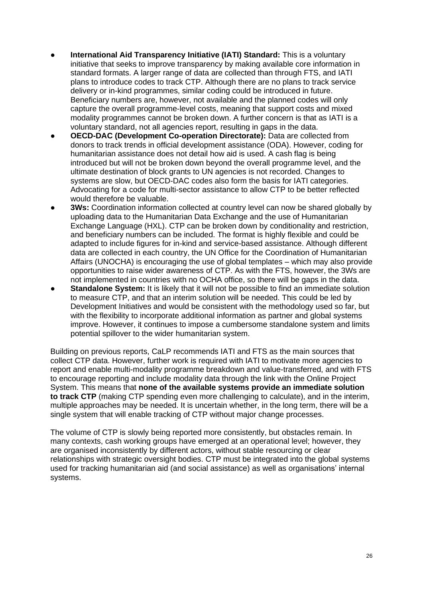- **International Aid Transparency Initiative (IATI) Standard:** This is a voluntary initiative that seeks to improve transparency by making available core information in standard formats. A larger range of data are collected than through FTS, and IATI plans to introduce codes to track CTP. Although there are no plans to track service delivery or in-kind programmes, similar coding could be introduced in future. Beneficiary numbers are, however, not available and the planned codes will only capture the overall programme-level costs, meaning that support costs and mixed modality programmes cannot be broken down. A further concern is that as IATI is a voluntary standard, not all agencies report, resulting in gaps in the data.
- **OECD-DAC** (Development Co-operation Directorate): Data are collected from donors to track trends in official development assistance (ODA). However, coding for humanitarian assistance does not detail how aid is used. A cash flag is being introduced but will not be broken down beyond the overall programme level, and the ultimate destination of block grants to UN agencies is not recorded. Changes to systems are slow, but OECD-DAC codes also form the basis for IATI categories. Advocating for a code for multi-sector assistance to allow CTP to be better reflected would therefore be valuable.
- **3Ws:** Coordination information collected at country level can now be shared globally by uploading data to the Humanitarian Data Exchange and the use of Humanitarian Exchange Language (HXL). CTP can be broken down by conditionality and restriction, and beneficiary numbers can be included. The format is highly flexible and could be adapted to include figures for in-kind and service-based assistance. Although different data are collected in each country, the UN Office for the Coordination of Humanitarian Affairs (UNOCHA) is encouraging the use of global templates – which may also provide opportunities to raise wider awareness of CTP. As with the FTS, however, the 3Ws are not implemented in countries with no OCHA office, so there will be gaps in the data.
- **Standalone System:** It is likely that it will not be possible to find an immediate solution to measure CTP, and that an interim solution will be needed. This could be led by Development Initiatives and would be consistent with the methodology used so far, but with the flexibility to incorporate additional information as partner and global systems improve. However, it continues to impose a cumbersome standalone system and limits potential spillover to the wider humanitarian system.

Building on previous reports, CaLP recommends IATI and FTS as the main sources that collect CTP data. However, further work is required with IATI to motivate more agencies to report and enable multi-modality programme breakdown and value-transferred, and with FTS to encourage reporting and include modality data through the link with the Online Project System. This means that **none of the available systems provide an immediate solution to track CTP** (making CTP spending even more challenging to calculate), and in the interim, multiple approaches may be needed. It is uncertain whether, in the long term, there will be a single system that will enable tracking of CTP without major change processes.

The volume of CTP is slowly being reported more consistently, but obstacles remain. In many contexts, cash working groups have emerged at an operational level; however, they are organised inconsistently by different actors, without stable resourcing or clear relationships with strategic oversight bodies. CTP must be integrated into the global systems used for tracking humanitarian aid (and social assistance) as well as organisations' internal systems.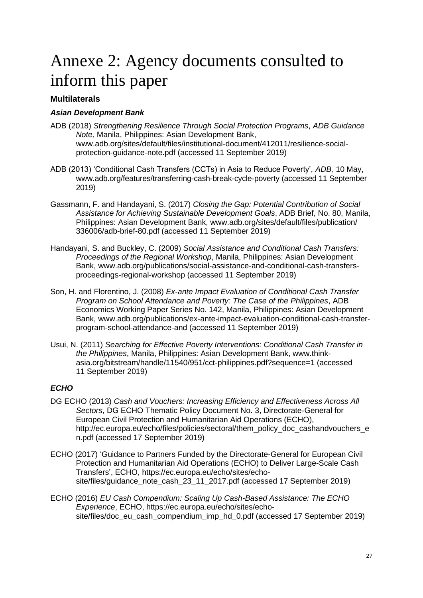# Annexe 2: Agency documents consulted to inform this paper

## **Multilaterals**

#### *Asian Development Bank*

- ADB (2018) *Strengthening Resilience Through Social Protection Programs*, *ADB Guidance Note,* Manila, Philippines: Asian Development Bank, www.adb.org/sites/default/files/institutional-document/412011/resilience-socialprotection-guidance-note.pdf (accessed 11 September 2019)
- ADB (2013) 'Conditional Cash Transfers (CCTs) in Asia to Reduce Poverty', *ADB,* 10 May, www.adb.org/features/transferring-cash-break-cycle-poverty (accessed 11 September 2019)
- Gassmann, F. and Handayani, S. (2017) *Closing the Gap: Potential Contribution of Social Assistance for Achieving Sustainable Development Goals*, ADB Brief, No. 80, Manila, Philippines: Asian Development Bank, www.adb.org/sites/default/files/publication/ 336006/adb-brief-80.pdf (accessed 11 September 2019)
- Handayani, S. and Buckley, C. (2009) *Social Assistance and Conditional Cash Transfers: Proceedings of the Regional Workshop*, Manila, Philippines: Asian Development Bank, www.adb.org/publications/social-assistance-and-conditional-cash-transfersproceedings-regional-workshop (accessed 11 September 2019)
- Son, H. and Florentino, J. (2008) *Ex-ante Impact Evaluation of Conditional Cash Transfer Program on School Attendance and Poverty: The Case of the Philippines*, ADB Economics Working Paper Series No. 142, Manila, Philippines: Asian Development Bank, www.adb.org/publications/ex-ante-impact-evaluation-conditional-cash-transferprogram-school-attendance-and (accessed 11 September 2019)
- Usui, N. (2011) *Searching for Effective Poverty Interventions: Conditional Cash Transfer in the Philippines*, Manila, Philippines: Asian Development Bank, www.thinkasia.org/bitstream/handle/11540/951/cct-philippines.pdf?sequence=1 (accessed 11 September 2019)

### *ECHO*

- DG ECHO (2013) *Cash and Vouchers: Increasing Efficiency and Effectiveness Across All Sectors*, DG ECHO Thematic Policy Document No. 3, Directorate-General for European Civil Protection and Humanitarian Aid Operations (ECHO), http://ec.europa.eu/echo/files/policies/sectoral/them\_policy\_doc\_cashandvouchers\_e n.pdf (accessed 17 September 2019)
- ECHO (2017) 'Guidance to Partners Funded by the Directorate-General for European Civil Protection and Humanitarian Aid Operations (ECHO) to Deliver Large-Scale Cash Transfers', ECHO, https://ec.europa.eu/echo/sites/echosite/files/guidance\_note\_cash\_23\_11\_2017.pdf (accessed 17 September 2019)
- ECHO (2016) *EU Cash Compendium: Scaling Up Cash-Based Assistance: The ECHO Experience*, ECHO, https://ec.europa.eu/echo/sites/echosite/files/doc\_eu\_cash\_compendium\_imp\_hd\_0.pdf (accessed 17 September 2019)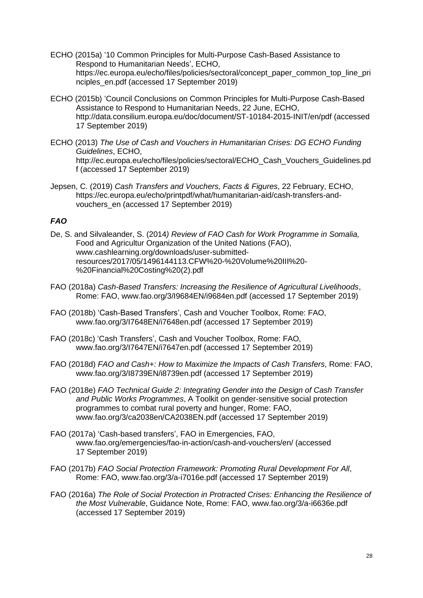- ECHO (2015a) '10 Common Principles for Multi-Purpose Cash-Based Assistance to Respond to Humanitarian Needs', ECHO, https://ec.europa.eu/echo/files/policies/sectoral/concept\_paper\_common\_top\_line\_pri nciples\_en.pdf (accessed 17 September 2019)
- ECHO (2015b) 'Council Conclusions on Common Principles for Multi-Purpose Cash-Based Assistance to Respond to Humanitarian Needs, 22 June, ECHO, http://data.consilium.europa.eu/doc/document/ST-10184-2015-INIT/en/pdf (accessed 17 September 2019)
- ECHO (2013) *The Use of Cash and Vouchers in Humanitarian Crises: DG ECHO Funding Guidelines*, ECHO, http://ec.europa.eu/echo/files/policies/sectoral/ECHO\_Cash\_Vouchers\_Guidelines.pd f (accessed 17 September 2019)
- Jepsen, C. (2019) *Cash Transfers and Vouchers, Facts & Figures*, 22 February, ECHO, https://ec.europa.eu/echo/printpdf/what/humanitarian-aid/cash-transfers-andvouchers\_en (accessed 17 September 2019)

#### *FAO*

- De, S. and Silvaleander, S. (2014*) Review of FAO Cash for Work Programme in Somalia,* Food and Agricultur Organization of the United Nations (FAO), www.cashlearning.org/downloads/user-submittedresources/2017/05/1496144113.CFW%20-%20Volume%20III%20- %20Financial%20Costing%20(2).pdf
- FAO (2018a) *Cash-Based Transfers: Increasing the Resilience of Agricultural Livelihoods*, Rome: FAO, www.fao.org/3/I9684EN/i9684en.pdf (accessed 17 September 2019)
- FAO (2018b) 'Cash-Based Transfers', Cash and Voucher Toolbox, Rome: FAO, www.fao.org/3/I7648EN/i7648en.pdf (accessed 17 September 2019)
- FAO (2018c) 'Cash Transfers', Cash and Voucher Toolbox, Rome: FAO, www.fao.org/3/I7647EN/i7647en.pdf (accessed 17 September 2019)
- FAO (2018d) *FAO and Cash+: How to Maximize the Impacts of Cash Transfers*, Rome: FAO, www.fao.org/3/I8739EN/i8739en.pdf (accessed 17 September 2019)
- FAO (2018e) *FAO Technical Guide 2: Integrating Gender into the Design of Cash Transfer and Public Works Programmes*, A Toolkit on gender-sensitive social protection programmes to combat rural poverty and hunger, Rome: FAO, www.fao.org/3/ca2038en/CA2038EN.pdf (accessed 17 September 2019)
- FAO (2017a) 'Cash-based transfers', FAO in Emergencies, FAO, www.fao.org/emergencies/fao-in-action/cash-and-vouchers/en/ (accessed 17 September 2019)
- FAO (2017b) *FAO Social Protection Framework: Promoting Rural Development For All*, Rome: FAO, www.fao.org/3/a-i7016e.pdf (accessed 17 September 2019)
- FAO (2016a) *The Role of Social Protection in Protracted Crises: Enhancing the Resilience of the Most Vulnerable*, Guidance Note, Rome: FAO, www.fao.org/3/a-i6636e.pdf (accessed 17 September 2019)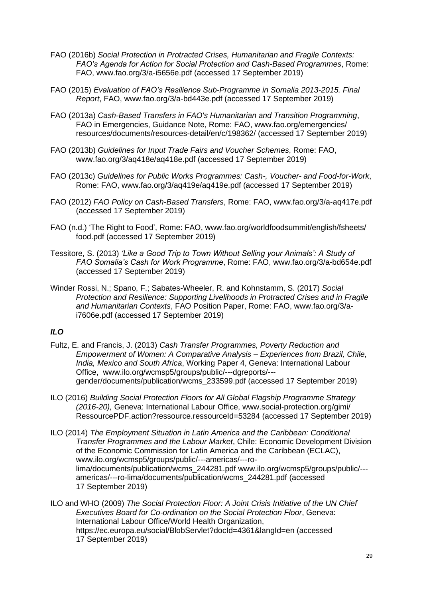- FAO (2016b) *Social Protection in Protracted Crises, Humanitarian and Fragile Contexts: FAO's Agenda for Action for Social Protection and Cash-Based Programmes*, Rome: FAO, www.fao.org/3/a-i5656e.pdf (accessed 17 September 2019)
- FAO (2015) *Evaluation of FAO's Resilience Sub-Programme in Somalia 2013-2015. Final Report*, FAO, www.fao.org/3/a-bd443e.pdf (accessed 17 September 2019)
- FAO (2013a) *Cash-Based Transfers in FAO's Humanitarian and Transition Programming*, FAO in Emergencies, Guidance Note, Rome: FAO, www.fao.org/emergencies/ resources/documents/resources-detail/en/c/198362/ (accessed 17 September 2019)
- FAO (2013b) *Guidelines for Input Trade Fairs and Voucher Schemes*, Rome: FAO, www.fao.org/3/aq418e/aq418e.pdf (accessed 17 September 2019)
- FAO (2013c) *Guidelines for Public Works Programmes: Cash-, Voucher- and Food-for-Work*, Rome: FAO, www.fao.org/3/aq419e/aq419e.pdf (accessed 17 September 2019)
- FAO (2012) *FAO Policy on Cash-Based Transfers*, Rome: FAO, www.fao.org/3/a-aq417e.pdf (accessed 17 September 2019)
- FAO (n.d.) 'The Right to Food', Rome: FAO, www.fao.org/worldfoodsummit/english/fsheets/ food.pdf (accessed 17 September 2019)
- Tessitore, S. (2013) *'Like a Good Trip to Town Without Selling your Animals': A Study of FAO Somalia's Cash for Work Programme*, Rome: FAO, www.fao.org/3/a-bd654e.pdf (accessed 17 September 2019)
- Winder Rossi, N.; Spano, F.; Sabates-Wheeler, R. and Kohnstamm, S. (2017) *Social Protection and Resilience: Supporting Livelihoods in Protracted Crises and in Fragile and Humanitarian Contexts*, FAO Position Paper, Rome: FAO, www.fao.org/3/ai7606e.pdf (accessed 17 September 2019)

#### *ILO*

- Fultz, E. and Francis, J. (2013) *Cash Transfer Programmes, Poverty Reduction and Empowerment of Women: A Comparative Analysis – Experiences from Brazil, Chile, India, Mexico and South Africa*, Working Paper 4, Geneva: International Labour Office, www.ilo.org/wcmsp5/groups/public/---dgreports/-- gender/documents/publication/wcms\_233599.pdf (accessed 17 September 2019)
- ILO (2016) *Building Social Protection Floors for All Global Flagship Programme Strategy (2016-20),* Geneva: International Labour Office, www.social-protection.org/gimi/ RessourcePDF.action?ressource.ressourceId=53284 (accessed 17 September 2019)
- ILO (2014) *The Employment Situation in Latin America and the Caribbean: Conditional Transfer Programmes and the Labour Market*, Chile: Economic Development Division of the Economic Commission for Latin America and the Caribbean (ECLAC), www.ilo.org/wcmsp5/groups/public/---americas/---rolima/documents/publication/wcms\_244281.pdf www.ilo.org/wcmsp5/groups/public/-- americas/---ro-lima/documents/publication/wcms\_244281.pdf (accessed 17 September 2019)
- ILO and WHO (2009) *The Social Protection Floor: A Joint Crisis Initiative of the UN Chief Executives Board for Co-ordination on the Social Protection Floor*, Geneva: International Labour Office/World Health Organization, https://ec.europa.eu/social/BlobServlet?docId=4361&langId=en (accessed 17 September 2019)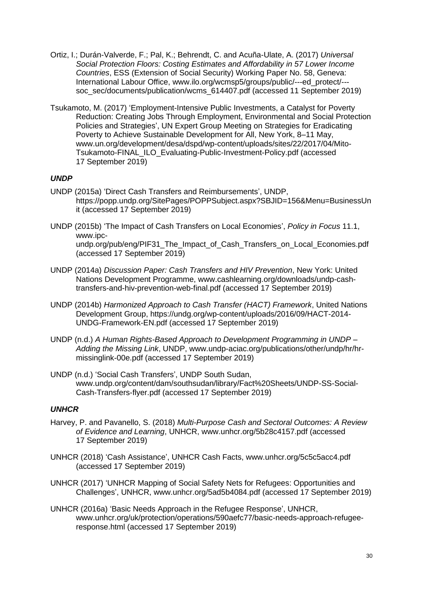- Ortiz, I.; Durán-Valverde, F.; Pal, K.; Behrendt, C. and Acuña-Ulate, A. (2017) *Universal Social Protection Floors: Costing Estimates and Affordability in 57 Lower Income Countries*, ESS (Extension of Social Security) Working Paper No. 58, Geneva: International Labour Office, www.ilo.org/wcmsp5/groups/public/---ed\_protect/-- soc\_sec/documents/publication/wcms\_614407.pdf (accessed 11 September 2019)
- Tsukamoto, M. (2017) 'Employment-Intensive Public Investments, a Catalyst for Poverty Reduction: Creating Jobs Through Employment, Environmental and Social Protection Policies and Strategies', UN Expert Group Meeting on Strategies for Eradicating Poverty to Achieve Sustainable Development for All, New York, 8–11 May, www.un.org/development/desa/dspd/wp-content/uploads/sites/22/2017/04/Mito-Tsukamoto-FINAL\_ILO\_Evaluating-Public-Investment-Policy.pdf (accessed 17 September 2019)

#### *UNDP*

- UNDP (2015a) 'Direct Cash Transfers and Reimbursements', UNDP, https://popp.undp.org/SitePages/POPPSubject.aspx?SBJID=156&Menu=BusinessUn it (accessed 17 September 2019)
- UNDP (2015b) 'The Impact of Cash Transfers on Local Economies', *Policy in Focus* 11.1, www.ipcundp.org/pub/eng/PIF31\_The\_Impact\_of\_Cash\_Transfers\_on\_Local\_Economies.pdf (accessed 17 September 2019)
- UNDP (2014a) *Discussion Paper: Cash Transfers and HIV Prevention*, New York: United Nations Development Programme, www.cashlearning.org/downloads/undp-cashtransfers-and-hiv-prevention-web-final.pdf (accessed 17 September 2019)
- UNDP (2014b) *Harmonized Approach to Cash Transfer (HACT) Framework*, United Nations Development Group, https://undg.org/wp-content/uploads/2016/09/HACT-2014- UNDG-Framework-EN.pdf (accessed 17 September 2019)
- UNDP (n.d.) *A Human Rights-Based Approach to Development Programming in UNDP – Adding the Missing Link*, UNDP, www.undp-aciac.org/publications/other/undp/hr/hrmissinglink-00e.pdf (accessed 17 September 2019)
- UNDP (n.d.) 'Social Cash Transfers', UNDP South Sudan, www.undp.org/content/dam/southsudan/library/Fact%20Sheets/UNDP-SS-Social-Cash-Transfers-flyer.pdf (accessed 17 September 2019)

#### *UNHCR*

- Harvey, P. and Pavanello, S. (2018) *Multi-Purpose Cash and Sectoral Outcomes: A Review of Evidence and Learning*, UNHCR, www.unhcr.org/5b28c4157.pdf (accessed 17 September 2019)
- UNHCR (2018) 'Cash Assistance', UNHCR Cash Facts, www.unhcr.org/5c5c5acc4.pdf (accessed 17 September 2019)
- UNHCR (2017) 'UNHCR Mapping of Social Safety Nets for Refugees: Opportunities and Challenges', UNHCR, www.unhcr.org/5ad5b4084.pdf (accessed 17 September 2019)
- UNHCR (2016a) 'Basic Needs Approach in the Refugee Response', UNHCR, www.unhcr.org/uk/protection/operations/590aefc77/basic-needs-approach-refugeeresponse.html (accessed 17 September 2019)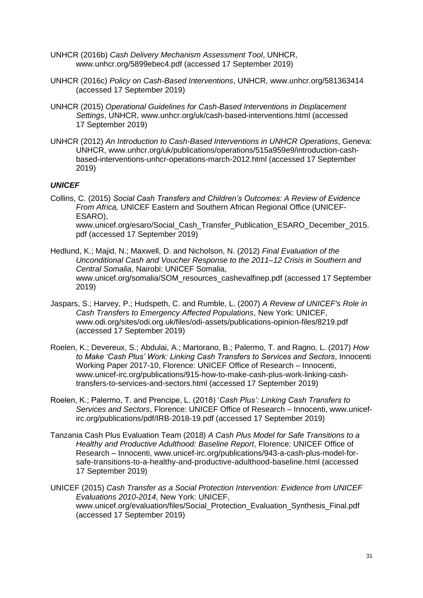- UNHCR (2016b) *Cash Delivery Mechanism Assessment Tool*, UNHCR, www.unhcr.org/5899ebec4.pdf (accessed 17 September 2019)
- UNHCR (2016c) *Policy on Cash-Based Interventions*, UNHCR, www.unhcr.org/581363414 (accessed 17 September 2019)
- UNHCR (2015) *Operational Guidelines for Cash-Based Interventions in Displacement Settings*, UNHCR, www.unhcr.org/uk/cash-based-interventions.html (accessed 17 September 2019)
- UNHCR (2012) *An Introduction to Cash-Based Interventions in UNHCR Operations*, Geneva: UNHCR, www.unhcr.org/uk/publications/operations/515a959e9/introduction-cashbased-interventions-unhcr-operations-march-2012.html (accessed 17 September 2019)

#### *UNICEF*

Collins, C. (2015) *Social Cash Transfers and Children's Outcomes: A Review of Evidence From Africa,* UNICEF Eastern and Southern African Regional Office (UNICEF-ESARO), www.unicef.org/esaro/Social Cash Transfer Publication ESARO December 2015. pdf (accessed 17 September 2019)

- Hedlund, K.; Majid, N.; Maxwell, D. and Nicholson, N. (2012) *Final Evaluation of the Unconditional Cash and Voucher Response to the 2011–12 Crisis in Southern and Central Somalia*, Nairobi: UNICEF Somalia, www.unicef.org/somalia/SOM\_resources\_cashevalfinep.pdf (accessed 17 September 2019)
- Jaspars, S.; Harvey, P.; Hudspeth, C. and Rumble, L. (2007) *A Review of UNICEF's Role in Cash Transfers to Emergency Affected Populations*, New York: UNICEF, www.odi.org/sites/odi.org.uk/files/odi-assets/publications-opinion-files/8219.pdf (accessed 17 September 2019)
- Roelen, K.; Devereux, S.; Abdulai, A.; Martorano, B.; Palermo, T. and Ragno, L. (2017) *How to Make 'Cash Plus' Work: Linking Cash Transfers to Services and Sectors*, Innocenti Working Paper 2017-10, Florence: UNICEF Office of Research – Innocenti, www.unicef-irc.org/publications/915-how-to-make-cash-plus-work-linking-cashtransfers-to-services-and-sectors.html (accessed 17 September 2019)
- Roelen, K.; Palermo, T. and Prencipe, L. (2018) '*Cash Plus': Linking Cash Transfers to Services and Sectors*, Florence: UNICEF Office of Research – Innocenti, www.unicefirc.org/publications/pdf/IRB-2018-19.pdf (accessed 17 September 2019)
- Tanzania Cash Plus Evaluation Team (2018) *A Cash Plus Model for Safe Transitions to a Healthy and Productive Adulthood: Baseline Report*, Florence: UNICEF Office of Research – Innocenti, www.unicef-irc.org/publications/943-a-cash-plus-model-forsafe-transitions-to-a-healthy-and-productive-adulthood-baseline.html (accessed 17 September 2019)

UNICEF (2015) *Cash Transfer as a Social Protection Intervention: Evidence from UNICEF Evaluations 2010-2014*, New York: UNICEF, www.unicef.org/evaluation/files/Social\_Protection\_Evaluation\_Synthesis\_Final.pdf (accessed 17 September 2019)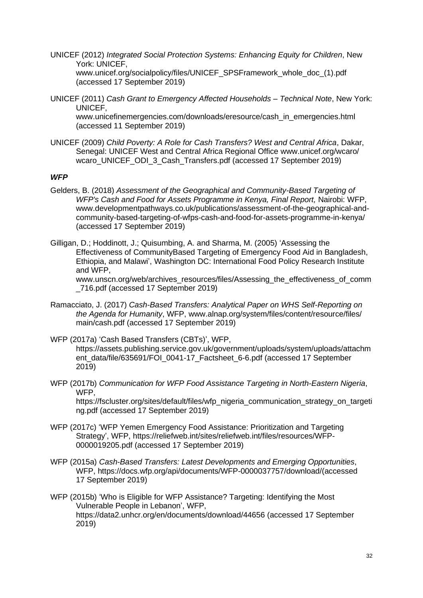UNICEF (2012) *Integrated Social Protection Systems: Enhancing Equity for Children*, New York: UNICEF,

www.unicef.org/socialpolicy/files/UNICEF\_SPSFramework\_whole\_doc\_(1).pdf (accessed 17 September 2019)

UNICEF (2011) *Cash Grant to Emergency Affected Households – Technical Note*, New York: UNICEF,

www.unicefinemergencies.com/downloads/eresource/cash\_in\_emergencies.html (accessed 11 September 2019)

UNICEF (2009) *Child Poverty: A Role for Cash Transfers? West and Central Africa*, Dakar, Senegal: UNICEF West and Central Africa Regional Office www.unicef.org/wcaro/ wcaro\_UNICEF\_ODI\_3\_Cash\_Transfers.pdf (accessed 17 September 2019)

#### *WFP*

- Gelders, B. (2018) *Assessment of the Geographical and Community-Based Targeting of WFP's Cash and Food for Assets Programme in Kenya, Final Report,* Nairobi: WFP, www.developmentpathways.co.uk/publications/assessment-of-the-geographical-andcommunity-based-targeting-of-wfps-cash-and-food-for-assets-programme-in-kenya/ (accessed 17 September 2019)
- Gilligan, D.; Hoddinott, J.; Quisumbing, A. and Sharma, M. (2005) 'Assessing the Effectiveness of CommunityBased Targeting of Emergency Food Aid in Bangladesh, Ethiopia, and Malawi', Washington DC: International Food Policy Research Institute and WFP,

www.unscn.org/web/archives\_resources/files/Assessing\_the\_effectiveness\_of\_comm \_716.pdf (accessed 17 September 2019)

Ramacciato, J. (2017) *Cash-Based Transfers: Analytical Paper on WHS Self-Reporting on the Agenda for Humanity*, WFP, www.alnap.org/system/files/content/resource/files/ main/cash.pdf (accessed 17 September 2019)

WFP (2017a) 'Cash Based Transfers (CBTs)', WFP,

https://assets.publishing.service.gov.uk/government/uploads/system/uploads/attachm ent\_data/file/635691/FOI\_0041-17\_Factsheet\_6-6.pdf (accessed 17 September 2019)

- WFP (2017b) *Communication for WFP Food Assistance Targeting in North-Eastern Nigeria*, WFP, https://fscluster.org/sites/default/files/wfp\_nigeria\_communication\_strategy\_on\_targeti ng.pdf (accessed 17 September 2019)
- WFP (2017c) 'WFP Yemen Emergency Food Assistance: Prioritization and Targeting Strategy', WFP, https://reliefweb.int/sites/reliefweb.int/files/resources/WFP-0000019205.pdf (accessed 17 September 2019)
- WFP (2015a) *Cash-Based Transfers: Latest Developments and Emerging Opportunities*, WFP, https://docs.wfp.org/api/documents/WFP-0000037757/download/(accessed 17 September 2019)
- WFP (2015b) 'Who is Eligible for WFP Assistance? Targeting: Identifying the Most Vulnerable People in Lebanon', WFP, https://data2.unhcr.org/en/documents/download/44656 (accessed 17 September 2019)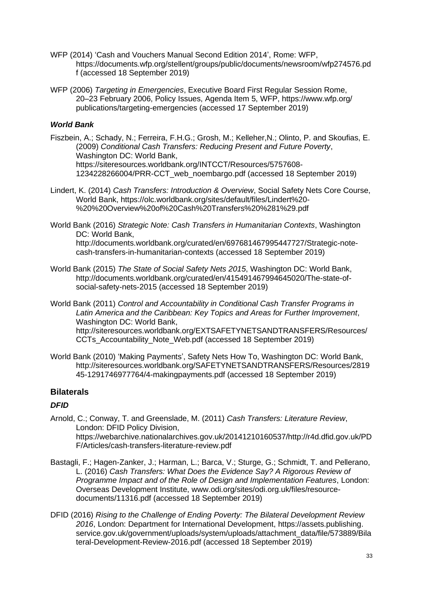- WFP (2014) 'Cash and Vouchers Manual Second Edition 2014', Rome: WFP, https://documents.wfp.org/stellent/groups/public/documents/newsroom/wfp274576.pd f (accessed 18 September 2019)
- WFP (2006) *Targeting in Emergencies*, Executive Board First Regular Session Rome, 20–23 February 2006, Policy Issues, Agenda Item 5, WFP, https://www.wfp.org/ publications/targeting-emergencies (accessed 17 September 2019)

#### *World Bank*

- Fiszbein, A.; Schady, N.; Ferreira, F.H.G.; Grosh, M.; Kelleher,N.; Olinto, P. and Skoufias, E. (2009) *Conditional Cash Transfers: Reducing Present and Future Poverty*, Washington DC: World Bank, https://siteresources.worldbank.org/INTCCT/Resources/5757608- 1234228266004/PRR-CCT\_web\_noembargo.pdf (accessed 18 September 2019)
- Lindert, K. (2014) *Cash Transfers: Introduction & Overview*, Social Safety Nets Core Course, World Bank, https://olc.worldbank.org/sites/default/files/Lindert%20- %20%20Overview%20of%20Cash%20Transfers%20%281%29.pdf
- World Bank (2016) *Strategic Note: Cash Transfers in Humanitarian Contexts*, Washington DC: World Bank, http://documents.worldbank.org/curated/en/697681467995447727/Strategic-notecash-transfers-in-humanitarian-contexts (accessed 18 September 2019)
- World Bank (2015) *The State of Social Safety Nets 2015*, Washington DC: World Bank, http://documents.worldbank.org/curated/en/415491467994645020/The-state-ofsocial-safety-nets-2015 (accessed 18 September 2019)
- World Bank (2011) *Control and Accountability in Conditional Cash Transfer Programs in Latin America and the Caribbean: Key Topics and Areas for Further Improvement*, Washington DC: World Bank, http://siteresources.worldbank.org/EXTSAFETYNETSANDTRANSFERS/Resources/ CCTs Accountability Note Web.pdf (accessed 18 September 2019)
- World Bank (2010) 'Making Payments', Safety Nets How To, Washington DC: World Bank, http://siteresources.worldbank.org/SAFETYNETSANDTRANSFERS/Resources/2819 45-1291746977764/4-makingpayments.pdf (accessed 18 September 2019)

### **Bilaterals**

### *DFID*

- Arnold, C.; Conway, T. and Greenslade, M. (2011) *Cash Transfers: Literature Review*, London: DFID Policy Division, https://webarchive.nationalarchives.gov.uk/20141210160537/http://r4d.dfid.gov.uk/PD F/Articles/cash-transfers-literature-review.pdf
- Bastagli, F.; Hagen-Zanker, J.; Harman, L.; Barca, V.; Sturge, G.; Schmidt, T. and Pellerano, L. (2016) *Cash Transfers: What Does the Evidence Say? A Rigorous Review of Programme Impact and of the Role of Design and Implementation Features*, London: Overseas Development Institute, www.odi.org/sites/odi.org.uk/files/resourcedocuments/11316.pdf (accessed 18 September 2019)
- DFID (2016) *Rising to the Challenge of Ending Poverty: The Bilateral Development Review 2016*, London: Department for International Development, https://assets.publishing. service.gov.uk/government/uploads/system/uploads/attachment\_data/file/573889/Bila teral-Development-Review-2016.pdf (accessed 18 September 2019)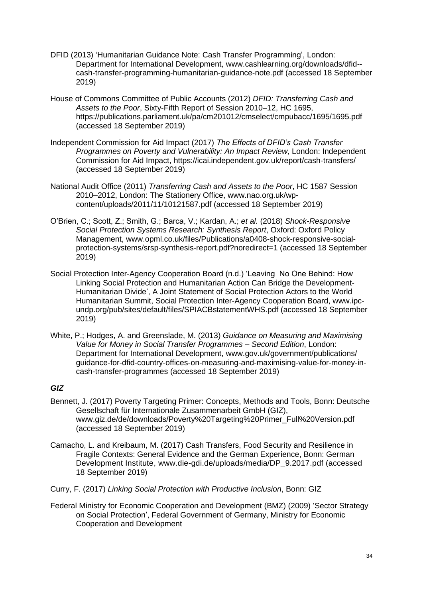- DFID (2013) 'Humanitarian Guidance Note: Cash Transfer Programming', London: Department for International Development, www.cashlearning.org/downloads/dfid- cash-transfer-programming-humanitarian-guidance-note.pdf (accessed 18 September 2019)
- House of Commons Committee of Public Accounts (2012) *DFID: Transferring Cash and Assets to the Poor*, Sixty-Fifth Report of Session 2010–12, HC 1695, https://publications.parliament.uk/pa/cm201012/cmselect/cmpubacc/1695/1695.pdf (accessed 18 September 2019)
- Independent Commission for Aid Impact (2017) *The Effects of DFID's Cash Transfer Programmes on Poverty and Vulnerability: An Impact Review*, London: Independent Commission for Aid Impact, https://icai.independent.gov.uk/report/cash-transfers/ (accessed 18 September 2019)
- National Audit Office (2011) *Transferring Cash and Assets to the Poor*, HC 1587 Session 2010–2012, London: The Stationery Office, www.nao.org.uk/wpcontent/uploads/2011/11/10121587.pdf (accessed 18 September 2019)
- O'Brien, C.; Scott, Z.; Smith, G.; Barca, V.; Kardan, A.; *et al.* (2018) *Shock-Responsive Social Protection Systems Research: Synthesis Report*, Oxford: Oxford Policy Management, www.opml.co.uk/files/Publications/a0408-shock-responsive-socialprotection-systems/srsp-synthesis-report.pdf?noredirect=1 (accessed 18 September 2019)
- Social Protection Inter-Agency Cooperation Board (n.d.) 'Leaving No One Behind: How Linking Social Protection and Humanitarian Action Can Bridge the Development-Humanitarian Divide', A Joint Statement of Social Protection Actors to the World Humanitarian Summit, Social Protection Inter-Agency Cooperation Board, www.ipcundp.org/pub/sites/default/files/SPIACBstatementWHS.pdf (accessed 18 September 2019)
- White, P.; Hodges, A. and Greenslade, M. (2013) *Guidance on Measuring and Maximising Value for Money in Social Transfer Programmes – Second Edition*, London: Department for International Development, www.gov.uk/government/publications/ guidance-for-dfid-country-offices-on-measuring-and-maximising-value-for-money-incash-transfer-programmes (accessed 18 September 2019)

### *GIZ*

- Bennett, J. (2017) Poverty Targeting Primer: Concepts, Methods and Tools, Bonn: Deutsche Gesellschaft für Internationale Zusammenarbeit GmbH (GIZ), www.giz.de/de/downloads/Poverty%20Targeting%20Primer\_Full%20Version.pdf (accessed 18 September 2019)
- Camacho, L. and Kreibaum, M. (2017) Cash Transfers, Food Security and Resilience in Fragile Contexts: General Evidence and the German Experience, Bonn: German Development Institute, www.die-gdi.de/uploads/media/DP\_9.2017.pdf (accessed 18 September 2019)
- Curry, F. (2017) *Linking Social Protection with Productive Inclusion*, Bonn: GIZ
- Federal Ministry for Economic Cooperation and Development (BMZ) (2009) 'Sector Strategy on Social Protection', Federal Government of Germany, Ministry for Economic Cooperation and Development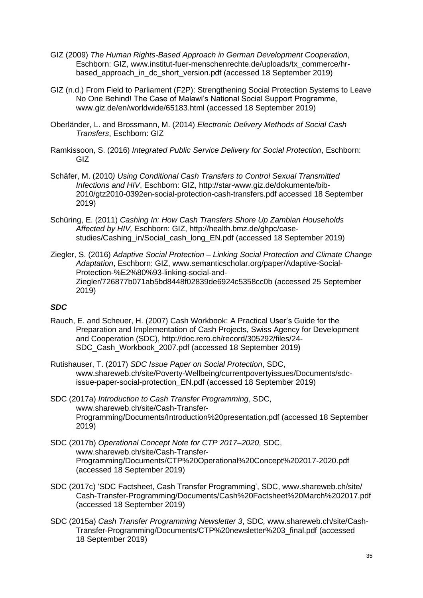- GIZ (2009) *The Human Rights-Based Approach in German Development Cooperation*, Eschborn: GIZ, www.institut-fuer-menschenrechte.de/uploads/tx\_commerce/hrbased\_approach\_in\_dc\_short\_version.pdf (accessed 18 September 2019)
- GIZ (n.d.) From Field to Parliament (F2P): Strengthening Social Protection Systems to Leave No One Behind! The Case of Malawi's National Social Support Programme, www.giz.de/en/worldwide/65183.html (accessed 18 September 2019)
- Oberländer, L. and Brossmann, M. (2014) *Electronic Delivery Methods of Social Cash Transfers*, Eschborn: GIZ
- Ramkissoon, S. (2016) *Integrated Public Service Delivery for Social Protection*, Eschborn: GIZ
- Schäfer, M. (2010*) Using Conditional Cash Transfers to Control Sexual Transmitted Infections and HIV*, Eschborn: GIZ, http://star-www.giz.de/dokumente/bib-2010/gtz2010-0392en-social-protection-cash-transfers.pdf accessed 18 September 2019)
- Schüring, E. (2011) *Cashing In: How Cash Transfers Shore Up Zambian Households Affected by HIV,* Eschborn: GIZ, http://health.bmz.de/ghpc/casestudies/Cashing\_in/Social\_cash\_long\_EN.pdf (accessed 18 September 2019)
- Ziegler, S. (2016) *Adaptive Social Protection – Linking Social Protection and Climate Change Adaptation*, Eschborn: GIZ, www.semanticscholar.org/paper/Adaptive-Social-Protection-%E2%80%93-linking-social-and-Ziegler/726877b071ab5bd8448f02839de6924c5358cc0b (accessed 25 September 2019)

#### *SDC*

- Rauch, E. and Scheuer, H. (2007) Cash Workbook: A Practical User's Guide for the Preparation and Implementation of Cash Projects, Swiss Agency for Development and Cooperation (SDC), http://doc.rero.ch/record/305292/files/24- SDC\_Cash\_Workbook\_2007.pdf (accessed 18 September 2019)
- Rutishauser, T. (2017) *SDC Issue Paper on Social Protection*, SDC, www.shareweb.ch/site/Poverty-Wellbeing/currentpovertyissues/Documents/sdcissue-paper-social-protection\_EN.pdf (accessed 18 September 2019)
- SDC (2017a) *Introduction to Cash Transfer Programming*, SDC, www.shareweb.ch/site/Cash-Transfer-Programming/Documents/Introduction%20presentation.pdf (accessed 18 September 2019)
- SDC (2017b) *Operational Concept Note for CTP 2017–2020*, SDC, www.shareweb.ch/site/Cash-Transfer-Programming/Documents/CTP%20Operational%20Concept%202017-2020.pdf (accessed 18 September 2019)
- SDC (2017c) 'SDC Factsheet, Cash Transfer Programming', SDC, www.shareweb.ch/site/ Cash-Transfer-Programming/Documents/Cash%20Factsheet%20March%202017.pdf (accessed 18 September 2019)
- SDC (2015a) *Cash Transfer Programming Newsletter 3*, SDC*,* www.shareweb.ch/site/Cash-Transfer-Programming/Documents/CTP%20newsletter%203\_final.pdf (accessed 18 September 2019)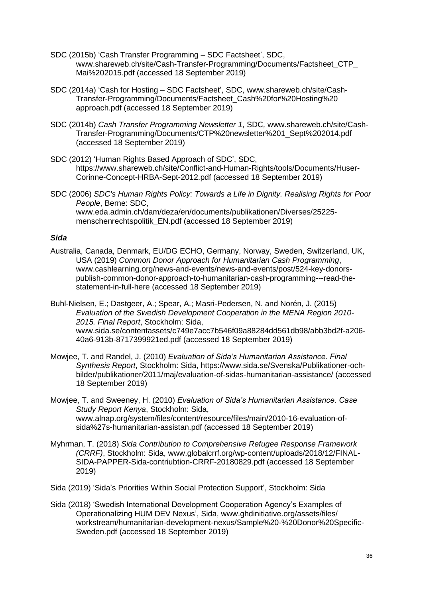- SDC (2015b) 'Cash Transfer Programming SDC Factsheet', SDC, www.shareweb.ch/site/Cash-Transfer-Programming/Documents/Factsheet\_CTP\_ Mai%202015.pdf (accessed 18 September 2019)
- SDC (2014a) 'Cash for Hosting SDC Factsheet', SDC, www.shareweb.ch/site/Cash-Transfer-Programming/Documents/Factsheet\_Cash%20for%20Hosting%20 approach.pdf (accessed 18 September 2019)
- SDC (2014b) *Cash Transfer Programming Newsletter 1*, SDC*,* www.shareweb.ch/site/Cash-Transfer-Programming/Documents/CTP%20newsletter%201\_Sept%202014.pdf (accessed 18 September 2019)
- SDC (2012) 'Human Rights Based Approach of SDC', SDC, https://www.shareweb.ch/site/Conflict-and-Human-Rights/tools/Documents/Huser-Corinne-Concept-HRBA-Sept-2012.pdf (accessed 18 September 2019)
- SDC (2006) *SDC's Human Rights Policy: Towards a Life in Dignity. Realising Rights for Poor People*, Berne: SDC, www.eda.admin.ch/dam/deza/en/documents/publikationen/Diverses/25225 menschenrechtspolitik\_EN.pdf (accessed 18 September 2019)

#### *Sida*

Australia, Canada, Denmark, EU/DG ECHO, Germany, Norway, Sweden, Switzerland, UK, USA (2019) *Common Donor Approach for Humanitarian Cash Programming*, www.cashlearning.org/news-and-events/news-and-events/post/524-key-donorspublish-common-donor-approach-to-humanitarian-cash-programming---read-thestatement-in-full-here (accessed 18 September 2019)

Buhl-Nielsen, E.; Dastgeer, A.; Spear, A.; Masri-Pedersen, N. and Norén, J. (2015) *Evaluation of the Swedish Development Cooperation in the MENA Region 2010- 2015. Final Report*, Stockholm: Sida, www.sida.se/contentassets/c749e7acc7b546f09a88284dd561db98/abb3bd2f-a206- 40a6-913b-8717399921ed.pdf (accessed 18 September 2019)

- Mowjee, T. and Randel, J. (2010) *Evaluation of Sida's Humanitarian Assistance. Final Synthesis Report*, Stockholm: Sida, https://www.sida.se/Svenska/Publikationer-ochbilder/publikationer/2011/maj/evaluation-of-sidas-humanitarian-assistance/ (accessed 18 September 2019)
- Mowjee, T. and Sweeney, H. (2010) *Evaluation of Sida's Humanitarian Assistance. Case Study Report Kenya*, Stockholm: Sida, www.alnap.org/system/files/content/resource/files/main/2010-16-evaluation-ofsida%27s-humanitarian-assistan.pdf (accessed 18 September 2019)
- Myhrman, T. (2018) *Sida Contribution to Comprehensive Refugee Response Framework (CRRF)*, Stockholm: Sida, www.globalcrrf.org/wp-content/uploads/2018/12/FINAL-SIDA-PAPPER-Sida-contriubtion-CRRF-20180829.pdf (accessed 18 September 2019)
- Sida (2019) 'Sida's Priorities Within Social Protection Support', Stockholm: Sida
- Sida (2018) 'Swedish International Development Cooperation Agency's Examples of Operationalizing HUM DEV Nexus', Sida, www.ghdinitiative.org/assets/files/ workstream/humanitarian-development-nexus/Sample%20-%20Donor%20Specific-Sweden.pdf (accessed 18 September 2019)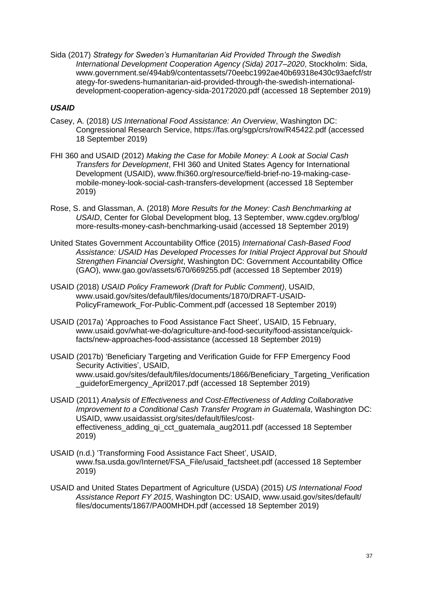Sida (2017) *Strategy for Sweden's Humanitarian Aid Provided Through the Swedish International Development Cooperation Agency (Sida) 2017–2020*, Stockholm: Sida, www.government.se/494ab9/contentassets/70eebc1992ae40b69318e430c93aefcf/str ategy-for-swedens-humanitarian-aid-provided-through-the-swedish-internationaldevelopment-cooperation-agency-sida-20172020.pdf (accessed 18 September 2019)

#### *USAID*

- Casey, A. (2018) *US International Food Assistance: An Overview*, Washington DC: Congressional Research Service, https://fas.org/sgp/crs/row/R45422.pdf (accessed 18 September 2019)
- FHI 360 and USAID (2012) *Making the Case for Mobile Money: A Look at Social Cash Transfers for Development*, FHI 360 and United States Agency for International Development (USAID), www.fhi360.org/resource/field-brief-no-19-making-casemobile-money-look-social-cash-transfers-development (accessed 18 September 2019)
- Rose, S. and Glassman, A. (2018) *More Results for the Money: Cash Benchmarking at USAID*, Center for Global Development blog, 13 September, www.cgdev.org/blog/ more-results-money-cash-benchmarking-usaid (accessed 18 September 2019)
- United States Government Accountability Office (2015) *International Cash-Based Food Assistance: USAID Has Developed Processes for Initial Project Approval but Should Strengthen Financial Oversight*, Washington DC: Government Accountability Office (GAO), www.gao.gov/assets/670/669255.pdf (accessed 18 September 2019)
- USAID (2018) *USAID Policy Framework (Draft for Public Comment)*, USAID, www.usaid.gov/sites/default/files/documents/1870/DRAFT-USAID-PolicyFramework\_For-Public-Comment.pdf (accessed 18 September 2019)
- USAID (2017a) 'Approaches to Food Assistance Fact Sheet', USAID, 15 February, www.usaid.gov/what-we-do/agriculture-and-food-security/food-assistance/quickfacts/new-approaches-food-assistance (accessed 18 September 2019)
- USAID (2017b) 'Beneficiary Targeting and Verification Guide for FFP Emergency Food Security Activities', USAID, www.usaid.gov/sites/default/files/documents/1866/Beneficiary Targeting Verification \_guideforEmergency\_April2017.pdf (accessed 18 September 2019)
- USAID (2011) *Analysis of Effectiveness and Cost-Effectiveness of Adding Collaborative Improvement to a Conditional Cash Transfer Program in Guatemala, Washington DC:* USAID, www.usaidassist.org/sites/default/files/costeffectiveness\_adding\_qi\_cct\_guatemala\_aug2011.pdf (accessed 18 September 2019)
- USAID (n.d.) 'Transforming Food Assistance Fact Sheet', USAID, www.fsa.usda.gov/Internet/FSA\_File/usaid\_factsheet.pdf (accessed 18 September 2019)
- USAID and United States Department of Agriculture (USDA) (2015) *US International Food Assistance Report FY 2015*, Washington DC: USAID, www.usaid.gov/sites/default/ files/documents/1867/PA00MHDH.pdf (accessed 18 September 2019)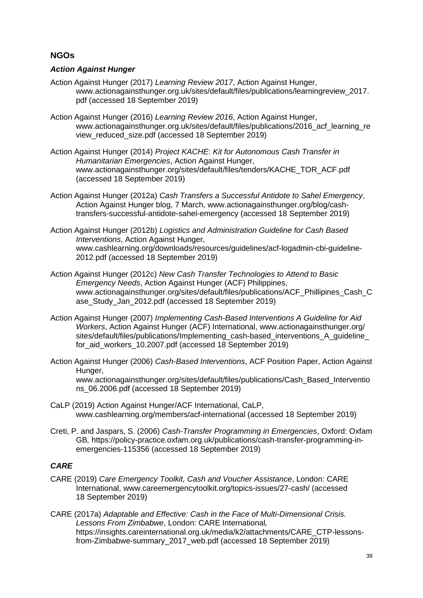## **NGOs**

#### *Action Against Hunger*

- Action Against Hunger (2017) *Learning Review 2017*, Action Against Hunger, www.actionagainsthunger.org.uk/sites/default/files/publications/learningreview\_2017. pdf (accessed 18 September 2019)
- Action Against Hunger (2016) *Learning Review 2016*, Action Against Hunger, www.actionagainsthunger.org.uk/sites/default/files/publications/2016 acf learning re view\_reduced\_size.pdf (accessed 18 September 2019)
- Action Against Hunger (2014) *Project KACHE*: *Kit for Autonomous Cash Transfer in Humanitarian Emergencies*, Action Against Hunger, www.actionagainsthunger.org/sites/default/files/tenders/KACHE\_TOR\_ACF.pdf (accessed 18 September 2019)
- Action Against Hunger (2012a) *Cash Transfers a Successful Antidote to Sahel Emergency*, Action Against Hunger blog, 7 March, www.actionagainsthunger.org/blog/cashtransfers-successful-antidote-sahel-emergency (accessed 18 September 2019)
- Action Against Hunger (2012b) *Logistics and Administration Guideline for Cash Based Interventions*, Action Against Hunger, www.cashlearning.org/downloads/resources/guidelines/acf-logadmin-cbi-guideline-2012.pdf (accessed 18 September 2019)
- Action Against Hunger (2012c) *New Cash Transfer Technologies to Attend to Basic Emergency Needs*, Action Against Hunger (ACF) Philippines, www.actionagainsthunger.org/sites/default/files/publications/ACF\_Phillipines\_Cash\_C ase\_Study\_Jan\_2012.pdf (accessed 18 September 2019)
- Action Against Hunger (2007) *Implementing Cash-Based Interventions A Guideline for Aid Workers*, Action Against Hunger (ACF) International, www.actionagainsthunger.org/ sites/default/files/publications/Implementing\_cash-based\_interventions\_A\_guideline\_ for aid workers 10.2007.pdf (accessed 18 September 2019)
- Action Against Hunger (2006) *Cash-Based Interventions*, ACF Position Paper, Action Against Hunger, www.actionagainsthunger.org/sites/default/files/publications/Cash\_Based\_Interventio ns\_06.2006.pdf (accessed 18 September 2019)
- CaLP (2019) Action Against Hunger/ACF International, CaLP, www.cashlearning.org/members/acf-international (accessed 18 September 2019)
- Creti, P. and Jaspars, S. (2006) *Cash-Transfer Programming in Emergencies*, Oxford: Oxfam GB*,* https://policy-practice.oxfam.org.uk/publications/cash-transfer-programming-inemergencies-115356 (accessed 18 September 2019)

### *CARE*

- CARE (2019) *Care Emergency Toolkit, Cash and Voucher Assistance*, London: CARE International, www.careemergencytoolkit.org/topics-issues/27-cash/ (accessed 18 September 2019)
- CARE (2017a) *Adaptable and Effective: Cash in the Face of Multi-Dimensional Crisis. Lessons From Zimbabwe*, London: CARE International*,* https://insights.careinternational.org.uk/media/k2/attachments/CARE\_CTP-lessonsfrom-Zimbabwe-summary\_2017\_web.pdf (accessed 18 September 2019)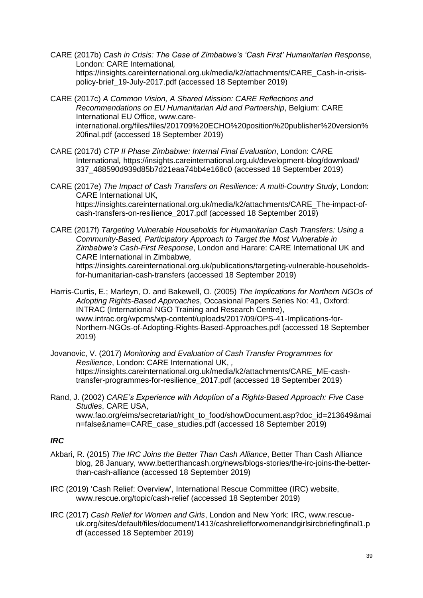- CARE (2017b) *Cash in Crisis: The Case of Zimbabwe's 'Cash First' Humanitarian Response*, London: CARE International*,* https://insights.careinternational.org.uk/media/k2/attachments/CARE\_Cash-in-crisispolicy-brief\_19-July-2017.pdf (accessed 18 September 2019)
- CARE (2017c) *A Common Vision, A Shared Mission: CARE Reflections and Recommendations on EU Humanitarian Aid and Partnership*, Belgium: CARE International EU Office*,* www.careinternational.org/files/files/201709%20ECHO%20position%20publisher%20version% 20final.pdf (accessed 18 September 2019)
- CARE (2017d) *CTP II Phase Zimbabwe: Internal Final Evaluation*, London: CARE International*,* https://insights.careinternational.org.uk/development-blog/download/ 337\_488590d939d85b7d21eaa74bb4e168c0 (accessed 18 September 2019)
- CARE (2017e) *The Impact of Cash Transfers on Resilience: A multi-Country Study*, London: CARE International UK*,* https://insights.careinternational.org.uk/media/k2/attachments/CARE\_The-impact-ofcash-transfers-on-resilience\_2017.pdf (accessed 18 September 2019)
- CARE (2017f) *Targeting Vulnerable Households for Humanitarian Cash Transfers: Using a Community-Based, Participatory Approach to Target the Most Vulnerable in Zimbabwe's Cash-First Response*, London and Harare: CARE International UK and CARE International in Zimbabwe*,* https://insights.careinternational.org.uk/publications/targeting-vulnerable-householdsfor-humanitarian-cash-transfers (accessed 18 September 2019)
- Harris-Curtis, E.; Marleyn, O. and Bakewell, O. (2005) *The Implications for Northern NGOs of Adopting Rights-Based Approaches*, Occasional Papers Series No: 41, Oxford: INTRAC (International NGO Training and Research Centre), www.intrac.org/wpcms/wp-content/uploads/2017/09/OPS-41-Implications-for-Northern-NGOs-of-Adopting-Rights-Based-Approaches.pdf (accessed 18 September 2019)

Jovanovic, V. (2017) *Monitoring and Evaluation of Cash Transfer Programmes for Resilience*, London: CARE International UK, *,* https://insights.careinternational.org.uk/media/k2/attachments/CARE\_ME-cashtransfer-programmes-for-resilience\_2017.pdf (accessed 18 September 2019)

Rand, J. (2002) *CARE's Experience with Adoption of a Rights-Based Approach: Five Case Studies*, CARE USA, www.fao.org/eims/secretariat/right\_to\_food/showDocument.asp?doc\_id=213649&mai n=false&name=CARE\_case\_studies.pdf (accessed 18 September 2019)

#### *IRC*

- Akbari, R. (2015) *The IRC Joins the Better Than Cash Alliance*, Better Than Cash Alliance blog, 28 January, www.betterthancash.org/news/blogs-stories/the-irc-joins-the-betterthan-cash-alliance (accessed 18 September 2019)
- IRC (2019) 'Cash Relief: Overview', International Rescue Committee (IRC) website, www.rescue.org/topic/cash-relief (accessed 18 September 2019)
- IRC (2017) *Cash Relief for Women and Girls*, London and New York: IRC, www.rescueuk.org/sites/default/files/document/1413/cashreliefforwomenandgirlsircbriefingfinal1.p df (accessed 18 September 2019)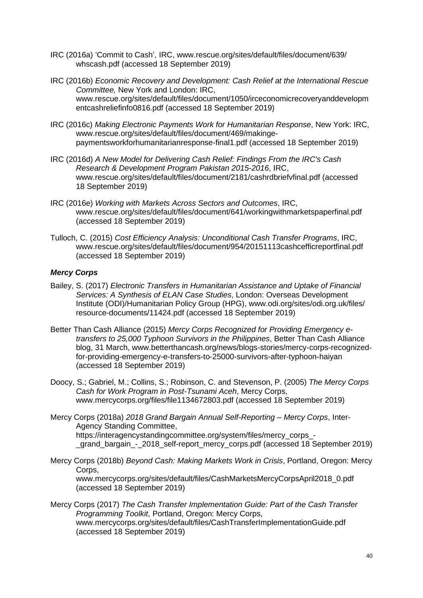- IRC (2016a) 'Commit to Cash', IRC, www.rescue.org/sites/default/files/document/639/ whscash.pdf (accessed 18 September 2019)
- IRC (2016b) *Economic Recovery and Development: Cash Relief at the International Rescue Committee,* New York and London: IRC, www.rescue.org/sites/default/files/document/1050/irceconomicrecoveryanddevelopm entcashreliefinfo0816.pdf (accessed 18 September 2019)
- IRC (2016c) *Making Electronic Payments Work for Humanitarian Response*, New York: IRC, www.rescue.org/sites/default/files/document/469/makingepaymentsworkforhumanitarianresponse-final1.pdf (accessed 18 September 2019)
- IRC (2016d) *A New Model for Delivering Cash Relief: Findings From the IRC's Cash Research & Development Program Pakistan 2015-2016*, IRC, www.rescue.org/sites/default/files/document/2181/cashrdbriefvfinal.pdf (accessed 18 September 2019)
- IRC (2016e) *Working with Markets Across Sectors and Outcomes*, IRC, www.rescue.org/sites/default/files/document/641/workingwithmarketspaperfinal.pdf (accessed 18 September 2019)
- Tulloch, C. (2015) *Cost Efficiency Analysis: Unconditional Cash Transfer Programs*, IRC, www.rescue.org/sites/default/files/document/954/20151113cashcefficreportfinal.pdf (accessed 18 September 2019)

#### *Mercy Corps*

- Bailey, S. (2017) *Electronic Transfers in Humanitarian Assistance and Uptake of Financial Services: A Synthesis of ELAN Case Studies*, London: Overseas Development Institute (ODI)/Humanitarian Policy Group (HPG), www.odi.org/sites/odi.org.uk/files/ resource-documents/11424.pdf (accessed 18 September 2019)
- Better Than Cash Alliance (2015) *Mercy Corps Recognized for Providing Emergency etransfers to 25,000 Typhoon Survivors in the Philippines*, Better Than Cash Alliance blog, 31 March, www.betterthancash.org/news/blogs-stories/mercy-corps-recognizedfor-providing-emergency-e-transfers-to-25000-survivors-after-typhoon-haiyan (accessed 18 September 2019)
- Doocy, S.; Gabriel, M.; Collins, S.; Robinson, C. and Stevenson, P. (2005) *The Mercy Corps Cash for Work Program in Post-Tsunami Aceh*, Mercy Corps, www.mercycorps.org/files/file1134672803.pdf (accessed 18 September 2019)
- Mercy Corps (2018a) *2018 Grand Bargain Annual Self-Reporting – Mercy Corps*, Inter-Agency Standing Committee, https://interagencystandingcommittee.org/system/files/mercy\_corps\_- \_grand\_bargain\_-\_2018\_self-report\_mercy\_corps.pdf (accessed 18 September 2019)
- Mercy Corps (2018b) *Beyond Cash: Making Markets Work in Crisis*, Portland, Oregon: Mercy Corps, www.mercycorps.org/sites/default/files/CashMarketsMercyCorpsApril2018\_0.pdf (accessed 18 September 2019)
- Mercy Corps (2017) *The Cash Transfer Implementation Guide: Part of the Cash Transfer Programming Toolkit*, Portland, Oregon: Mercy Corps, www.mercycorps.org/sites/default/files/CashTransferImplementationGuide.pdf (accessed 18 September 2019)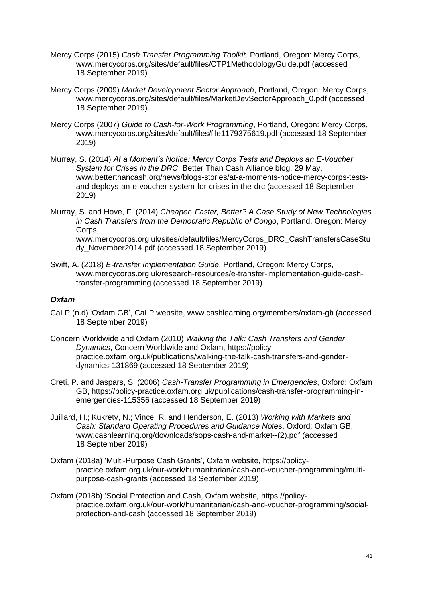- Mercy Corps (2015) *Cash Transfer Programming Toolkit,* Portland, Oregon: Mercy Corps, www.mercycorps.org/sites/default/files/CTP1MethodologyGuide.pdf (accessed 18 September 2019)
- Mercy Corps (2009) *Market Development Sector Approach*, Portland, Oregon: Mercy Corps, www.mercycorps.org/sites/default/files/MarketDevSectorApproach\_0.pdf (accessed 18 September 2019)
- Mercy Corps (2007) *Guide to Cash-for-Work Programming*, Portland, Oregon: Mercy Corps, www.mercycorps.org/sites/default/files/file1179375619.pdf (accessed 18 September 2019)
- Murray, S. (2014) *At a Moment's Notice: Mercy Corps Tests and Deploys an E-Voucher System for Crises in the DRC*, Better Than Cash Alliance blog, 29 May, www.betterthancash.org/news/blogs-stories/at-a-moments-notice-mercy-corps-testsand-deploys-an-e-voucher-system-for-crises-in-the-drc (accessed 18 September 2019)
- Murray, S. and Hove, F. (2014) *Cheaper, Faster, Better? A Case Study of New Technologies in Cash Transfers from the Democratic Republic of Congo*, Portland, Oregon: Mercy Corps. www.mercycorps.org.uk/sites/default/files/MercyCorps\_DRC\_CashTransfersCaseStu dy\_November2014.pdf (accessed 18 September 2019)
- Swift, A. (2018) *E-transfer Implementation Guide*, Portland, Oregon: Mercy Corps, www.mercycorps.org.uk/research-resources/e-transfer-implementation-guide-cashtransfer-programming (accessed 18 September 2019)

#### *Oxfam*

- CaLP (n.d) 'Oxfam GB', CaLP website, www.cashlearning.org/members/oxfam-gb (accessed 18 September 2019)
- Concern Worldwide and Oxfam (2010) *Walking the Talk: Cash Transfers and Gender Dynamics*, Concern Worldwide and Oxfam, https://policypractice.oxfam.org.uk/publications/walking-the-talk-cash-transfers-and-genderdynamics-131869 (accessed 18 September 2019)
- Creti, P. and Jaspars, S. (2006) *Cash-Transfer Programming in Emergencies*, Oxford: Oxfam GB, https://policy-practice.oxfam.org.uk/publications/cash-transfer-programming-inemergencies-115356 (accessed 18 September 2019)
- Juillard, H.; Kukrety, N.; Vince, R. and Henderson, E. (2013) *Working with Markets and Cash: Standard Operating Procedures and Guidance Notes*, Oxford: Oxfam GB, www.cashlearning.org/downloads/sops-cash-and-market--(2).pdf (accessed 18 September 2019)
- Oxfam (2018a) 'Multi-Purpose Cash Grants', Oxfam website*,* https://policypractice.oxfam.org.uk/our-work/humanitarian/cash-and-voucher-programming/multipurpose-cash-grants (accessed 18 September 2019)
- Oxfam (2018b) 'Social Protection and Cash, Oxfam website*,* https://policypractice.oxfam.org.uk/our-work/humanitarian/cash-and-voucher-programming/socialprotection-and-cash (accessed 18 September 2019)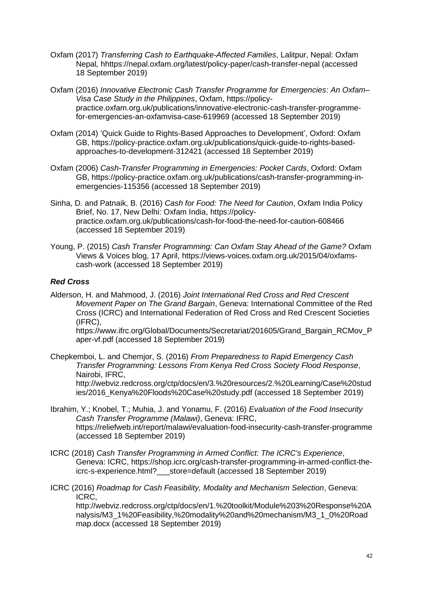- Oxfam (2017) *Transferring Cash to Earthquake-Affected Families*, Lalitpur, Nepal: Oxfam Nepal*,* hhttps://nepal.oxfam.org/latest/policy-paper/cash-transfer-nepal (accessed 18 September 2019)
- Oxfam (2016) *Innovative Electronic Cash Transfer Programme for Emergencies: An Oxfam– Visa Case Study in the Philippines*, Oxfam, https://policypractice.oxfam.org.uk/publications/innovative-electronic-cash-transfer-programmefor-emergencies-an-oxfamvisa-case-619969 (accessed 18 September 2019)
- Oxfam (2014) 'Quick Guide to Rights-Based Approaches to Development', Oxford: Oxfam GB, https://policy-practice.oxfam.org.uk/publications/quick-guide-to-rights-basedapproaches-to-development-312421 (accessed 18 September 2019)
- Oxfam (2006) *Cash-Transfer Programming in Emergencies: Pocket Cards*, Oxford: Oxfam GB, https://policy-practice.oxfam.org.uk/publications/cash-transfer-programming-inemergencies-115356 (accessed 18 September 2019)
- Sinha, D. and Patnaik, B. (2016) *Cash for Food: The Need for Caution*, Oxfam India Policy Brief, No. 17, New Delhi: Oxfam India, https://policypractice.oxfam.org.uk/publications/cash-for-food-the-need-for-caution-608466 (accessed 18 September 2019)
- Young, P. (2015) *Cash Transfer Programming: Can Oxfam Stay Ahead of the Game?* Oxfam Views & Voices blog, 17 April, https://views-voices.oxfam.org.uk/2015/04/oxfamscash-work (accessed 18 September 2019)

### *Red Cross*

Alderson, H. and Mahmood, J. (2016) *Joint International Red Cross and Red Crescent Movement Paper on The Grand Bargain*, Geneva: International Committee of the Red Cross (ICRC) and International Federation of Red Cross and Red Crescent Societies (IFRC),

https://www.ifrc.org/Global/Documents/Secretariat/201605/Grand\_Bargain\_RCMov\_P aper-vf.pdf (accessed 18 September 2019)

Chepkemboi, L. and Chemjor, S. (2016) *From Preparedness to Rapid Emergency Cash Transfer Programming: Lessons From Kenya Red Cross Society Flood Response*, Nairobi, IFRC,

http://webviz.redcross.org/ctp/docs/en/3.%20resources/2.%20Learning/Case%20stud ies/2016\_Kenya%20Floods%20Case%20study.pdf (accessed 18 September 2019)

- Ibrahim, Y.; Knobel, T.; Muhia, J. and Yonamu, F. (2016) *Evaluation of the Food Insecurity Cash Transfer Programme (Malawi)*, Geneva: IFRC, https://reliefweb.int/report/malawi/evaluation-food-insecurity-cash-transfer-programme (accessed 18 September 2019)
- ICRC (2018) *Cash Transfer Programming in Armed Conflict: The ICRC's Experience*, Geneva: ICRC, https://shop.icrc.org/cash-transfer-programming-in-armed-conflict-theicrc-s-experience.html?\_\_\_store=default (accessed 18 September 2019)
- ICRC (2016) *Roadmap for Cash Feasibility, Modality and Mechanism Selection*, Geneva: ICRC,

http://webviz.redcross.org/ctp/docs/en/1.%20toolkit/Module%203%20Response%20A nalysis/M3\_1%20Feasibility,%20modality%20and%20mechanism/M3\_1\_0%20Road map.docx (accessed 18 September 2019)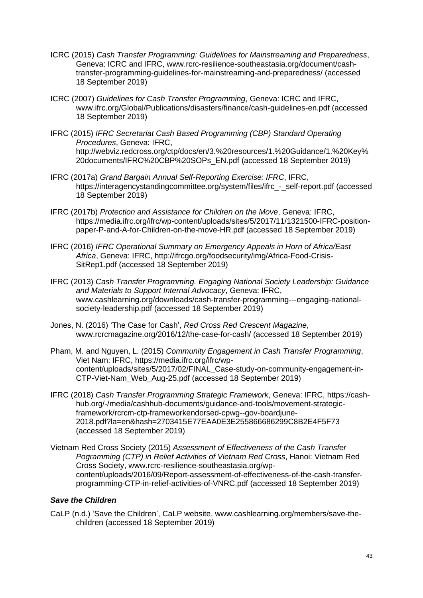- ICRC (2015) *Cash Transfer Programming: Guidelines for Mainstreaming and Preparedness*, Geneva: ICRC and IFRC, www.rcrc-resilience-southeastasia.org/document/cashtransfer-programming-guidelines-for-mainstreaming-and-preparedness/ (accessed 18 September 2019)
- ICRC (2007) *Guidelines for Cash Transfer Programming*, Geneva: ICRC and IFRC, www.ifrc.org/Global/Publications/disasters/finance/cash-guidelines-en.pdf (accessed 18 September 2019)
- IFRC (2015) *IFRC Secretariat Cash Based Programming (CBP) Standard Operating Procedures*, Geneva: IFRC, http://webviz.redcross.org/ctp/docs/en/3.%20resources/1.%20Guidance/1.%20Key% 20documents/IFRC%20CBP%20SOPs\_EN.pdf (accessed 18 September 2019)
- IFRC (2017a) *Grand Bargain Annual Self-Reporting Exercise: IFRC*, IFRC, https://interagencystandingcommittee.org/system/files/ifrc - self-report.pdf (accessed 18 September 2019)
- IFRC (2017b) *Protection and Assistance for Children on the Move*, Geneva: IFRC, https://media.ifrc.org/ifrc/wp-content/uploads/sites/5/2017/11/1321500-IFRC-positionpaper-P-and-A-for-Children-on-the-move-HR.pdf (accessed 18 September 2019)
- IFRC (2016) *IFRC Operational Summary on Emergency Appeals in Horn of Africa/East Africa*, Geneva: IFRC, http://ifrcgo.org/foodsecurity/img/Africa-Food-Crisis-SitRep1.pdf (accessed 18 September 2019)
- IFRC (2013) *Cash Transfer Programming. Engaging National Society Leadership: Guidance and Materials to Support Internal Advocacy*, Geneva: IFRC, www.cashlearning.org/downloads/cash-transfer-programming---engaging-nationalsociety-leadership.pdf (accessed 18 September 2019)
- Jones, N. (2016) 'The Case for Cash', *Red Cross Red Crescent Magazine*, www.rcrcmagazine.org/2016/12/the-case-for-cash/ (accessed 18 September 2019)
- Pham, M. and Nguyen, L. (2015) *Community Engagement in Cash Transfer Programming*, Viet Nam: IFRC, https://media.ifrc.org/ifrc/wpcontent/uploads/sites/5/2017/02/FINAL\_Case-study-on-community-engagement-in-CTP-Viet-Nam\_Web\_Aug-25.pdf (accessed 18 September 2019)
- IFRC (2018) *Cash Transfer Programming Strategic Framework*, Geneva: IFRC, https://cashhub.org/-/media/cashhub-documents/guidance-and-tools/movement-strategicframework/rcrcm-ctp-frameworkendorsed-cpwg--gov-boardjune-2018.pdf?la=en&hash=2703415E77EAA0E3E255866686299C8B2E4F5F73 (accessed 18 September 2019)
- Vietnam Red Cross Society (2015) *Assessment of Effectiveness of the Cash Transfer Pogramming (CTP) in Relief Activities of Vietnam Red Cross*, Hanoi: Vietnam Red Cross Society, www.rcrc-resilience-southeastasia.org/wpcontent/uploads/2016/09/Report-assessment-of-effectiveness-of-the-cash-transferprogramming-CTP-in-relief-activities-of-VNRC.pdf (accessed 18 September 2019)

#### *Save the Children*

CaLP (n.d.) 'Save the Children', CaLP website, www.cashlearning.org/members/save-thechildren (accessed 18 September 2019)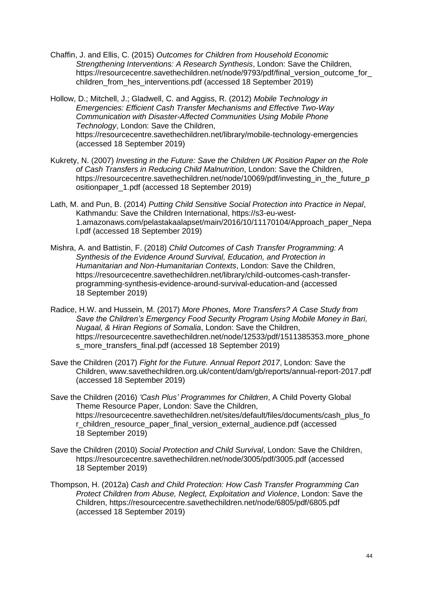Chaffin, J. and Ellis, C. (2015) *Outcomes for Children from Household Economic Strengthening Interventions: A Research Synthesis*, London: Save the Children, https://resourcecentre.savethechildren.net/node/9793/pdf/final\_version\_outcome\_for children from hes interventions.pdf (accessed 18 September 2019)

Hollow, D.; Mitchell, J.; Gladwell, C. and Aggiss, R. (2012) *Mobile Technology in Emergencies: Efficient Cash Transfer Mechanisms and Effective Two-Way Communication with Disaster-Affected Communities Using Mobile Phone Technology*, London: Save the Children, https://resourcecentre.savethechildren.net/library/mobile-technology-emergencies (accessed 18 September 2019)

- Kukrety, N. (2007) *Investing in the Future: Save the Children UK Position Paper on the Role of Cash Transfers in Reducing Child Malnutrition*, London: Save the Children, https://resourcecentre.savethechildren.net/node/10069/pdf/investing\_in\_the\_future\_p ositionpaper\_1.pdf (accessed 18 September 2019)
- Lath, M. and Pun, B. (2014) *Putting Child Sensitive Social Protection into Practice in Nepal*, Kathmandu: Save the Children International, https://s3-eu-west-1.amazonaws.com/pelastakaalapset/main/2016/10/11170104/Approach\_paper\_Nepa l.pdf (accessed 18 September 2019)
- Mishra, A. and Battistin, F. (2018) *Child Outcomes of Cash Transfer Programming: A Synthesis of the Evidence Around Survival, Education, and Protection in Humanitarian and Non-Humanitarian Contexts*, London: Save the Children, https://resourcecentre.savethechildren.net/library/child-outcomes-cash-transferprogramming-synthesis-evidence-around-survival-education-and (accessed 18 September 2019)
- Radice, H.W. and Hussein, M. (2017) *More Phones, More Transfers? A Case Study from Save the Children's Emergency Food Security Program Using Mobile Money in Bari, Nugaal, & Hiran Regions of Somalia*, London: Save the Children, https://resourcecentre.savethechildren.net/node/12533/pdf/1511385353.more\_phone s\_more\_transfers\_final.pdf (accessed 18 September 2019)
- Save the Children (2017) *Fight for the Future. Annual Report 2017*, London: Save the Children, www.savethechildren.org.uk/content/dam/gb/reports/annual-report-2017.pdf (accessed 18 September 2019)
- Save the Children (2016) *'Cash Plus' Programmes for Children*, A Child Poverty Global Theme Resource Paper, London: Save the Children, https://resourcecentre.savethechildren.net/sites/default/files/documents/cash\_plus\_fo r\_children\_resource\_paper\_final\_version\_external\_audience.pdf (accessed 18 September 2019)
- Save the Children (2010) *Social Protection and Child Survival*, London: Save the Children, https://resourcecentre.savethechildren.net/node/3005/pdf/3005.pdf (accessed 18 September 2019)
- Thompson, H. (2012a) *Cash and Child Protection: How Cash Transfer Programming Can Protect Children from Abuse, Neglect, Exploitation and Violence*, London: Save the Children, https://resourcecentre.savethechildren.net/node/6805/pdf/6805.pdf (accessed 18 September 2019)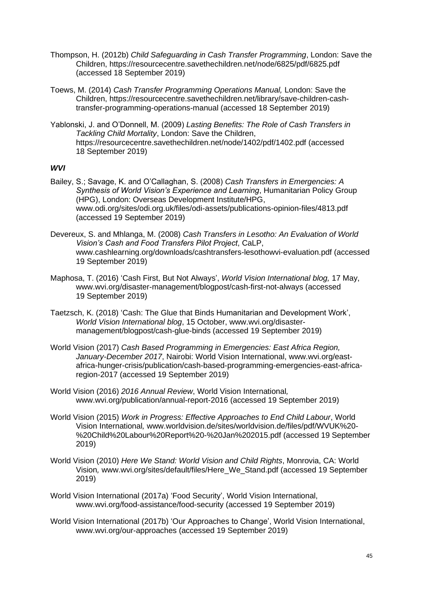- Thompson, H. (2012b) *Child Safeguarding in Cash Transfer Programming*, London: Save the Children, https://resourcecentre.savethechildren.net/node/6825/pdf/6825.pdf (accessed 18 September 2019)
- Toews, M. (2014) *Cash Transfer Programming Operations Manual,* London: Save the Children, https://resourcecentre.savethechildren.net/library/save-children-cashtransfer-programming-operations-manual (accessed 18 September 2019)
- Yablonski, J. and O'Donnell, M. (2009) *Lasting Benefits: The Role of Cash Transfers in Tackling Child Mortality*, London: Save the Children, https://resourcecentre.savethechildren.net/node/1402/pdf/1402.pdf (accessed 18 September 2019)

#### *WVI*

- Bailey, S.; Savage, K. and O'Callaghan, S. (2008) *Cash Transfers in Emergencies: A Synthesis of World Vision's Experience and Learning*, Humanitarian Policy Group (HPG), London: Overseas Development Institute/HPG, www.odi.org/sites/odi.org.uk/files/odi-assets/publications-opinion-files/4813.pdf (accessed 19 September 2019)
- Devereux, S. and Mhlanga, M. (2008) *Cash Transfers in Lesotho: An Evaluation of World Vision's Cash and Food Transfers Pilot Project*, CaLP, www.cashlearning.org/downloads/cashtransfers-lesothowvi-evaluation.pdf (accessed 19 September 2019)
- Maphosa, T. (2016) 'Cash First, But Not Always', *World Vision International blog,* 17 May, www.wvi.org/disaster-management/blogpost/cash-first-not-always (accessed 19 September 2019)
- Taetzsch, K. (2018) 'Cash: The Glue that Binds Humanitarian and Development Work', *World Vision International blog*, 15 October, www.wvi.org/disastermanagement/blogpost/cash-glue-binds (accessed 19 September 2019)
- World Vision (2017) *Cash Based Programming in Emergencies: East Africa Region, January-December 2017*, Nairobi: World Vision International, www.wvi.org/eastafrica-hunger-crisis/publication/cash-based-programming-emergencies-east-africaregion-2017 (accessed 19 September 2019)
- World Vision (2016) *2016 Annual Review*, World Vision International*,* www.wvi.org/publication/annual-report-2016 (accessed 19 September 2019)
- World Vision (2015) *Work in Progress: Effective Approaches to End Child Labour*, World Vision International*,* www.worldvision.de/sites/worldvision.de/files/pdf/WVUK%20- %20Child%20Labour%20Report%20-%20Jan%202015.pdf (accessed 19 September 2019)
- World Vision (2010) *Here We Stand: World Vision and Child Rights*, Monrovia, CA: World Vision*,* www.wvi.org/sites/default/files/Here\_We\_Stand.pdf (accessed 19 September 2019)
- World Vision International (2017a) 'Food Security', World Vision International, www.wvi.org/food-assistance/food-security (accessed 19 September 2019)
- World Vision International (2017b) 'Our Approaches to Change', World Vision International, www.wvi.org/our-approaches (accessed 19 September 2019)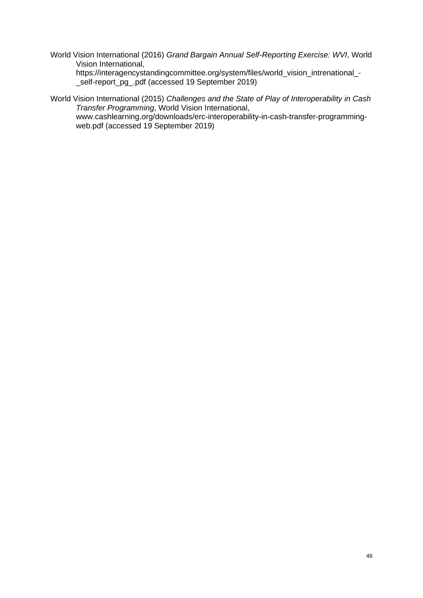World Vision International (2016) *Grand Bargain Annual Self-Reporting Exercise: WVI*, World Vision International,

https://interagencystandingcommittee.org/system/files/world\_vision\_intrenational\_- \_self-report\_pg\_.pdf (accessed 19 September 2019)

World Vision International (2015) *Challenges and the State of Play of Interoperability in Cash Transfer Programming*, World Vision International, www.cashlearning.org/downloads/erc-interoperability-in-cash-transfer-programmingweb.pdf (accessed 19 September 2019)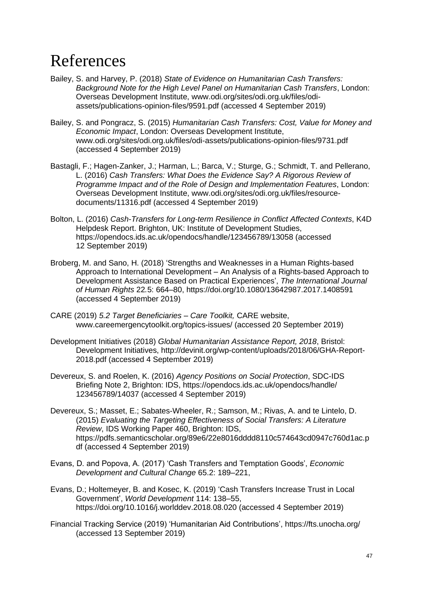## References

- Bailey, S. and Harvey, P. (2018) *State of Evidence on Humanitarian Cash Transfers: Background Note for the High Level Panel on Humanitarian Cash Transfers*, London: Overseas Development Institute, www.odi.org/sites/odi.org.uk/files/odiassets/publications-opinion-files/9591.pdf (accessed 4 September 2019)
- Bailey, S. and Pongracz, S. (2015) *Humanitarian Cash Transfers: Cost, Value for Money and Economic Impact*, London: Overseas Development Institute, www.odi.org/sites/odi.org.uk/files/odi-assets/publications-opinion-files/9731.pdf (accessed 4 September 2019)
- Bastagli, F.; Hagen-Zanker, J.; Harman, L.; Barca, V.; Sturge, G.; Schmidt, T. and Pellerano, L. (2016) *Cash Transfers: What Does the Evidence Say? A Rigorous Review of Programme Impact and of the Role of Design and Implementation Features*, London: Overseas Development Institute, www.odi.org/sites/odi.org.uk/files/resourcedocuments/11316.pdf (accessed 4 September 2019)
- Bolton, L. (2016) *Cash-Transfers for Long-term Resilience in Conflict Affected Contexts*, K4D Helpdesk Report. Brighton, UK: Institute of Development Studies, https://opendocs.ids.ac.uk/opendocs/handle/123456789/13058 (accessed 12 September 2019)
- Broberg, M. and Sano, H. (2018) 'Strengths and Weaknesses in a Human Rights-based Approach to International Development – An Analysis of a Rights-based Approach to Development Assistance Based on Practical Experiences', *The International Journal of Human Rights* 22*.*5: 664–80, https://doi.org/10.1080/13642987.2017.1408591 (accessed 4 September 2019)
- CARE (2019) *5.2 Target Beneficiaries – Care Toolkit,* CARE website, www.careemergencytoolkit.org/topics-issues/ (accessed 20 September 2019)
- Development Initiatives (2018) *Global Humanitarian Assistance Report, 2018*, Bristol: Development Initiatives, http://devinit.org/wp-content/uploads/2018/06/GHA-Report-2018.pdf (accessed 4 September 2019)
- Devereux, S. and Roelen, K. (2016) *Agency Positions on Social Protection*, SDC-IDS Briefing Note 2, Brighton: IDS, https://opendocs.ids.ac.uk/opendocs/handle/ 123456789/14037 (accessed 4 September 2019)
- Devereux, S.; Masset, E.; Sabates-Wheeler, R.; Samson, M.; Rivas, A. and te Lintelo, D. (2015) *Evaluating the Targeting Effectiveness of Social Transfers: A Literature Review*, IDS Working Paper 460, Brighton: IDS, https://pdfs.semanticscholar.org/89e6/22e8016dddd8110c574643cd0947c760d1ac.p df (accessed 4 September 2019)
- Evans, D. and Popova, A. (2017) 'Cash Transfers and Temptation Goods', *Economic Development and Cultural Change* 65.2: 189–221,
- Evans, D.; Holtemeyer, B. and Kosec, K. (2019) 'Cash Transfers Increase Trust in Local Government', *World Development* 114: 138–55, https://doi.org/10.1016/j.worlddev.2018.08.020 (accessed 4 September 2019)
- Financial Tracking Service (2019) 'Humanitarian Aid Contributions', https://fts.unocha.org/ (accessed 13 September 2019)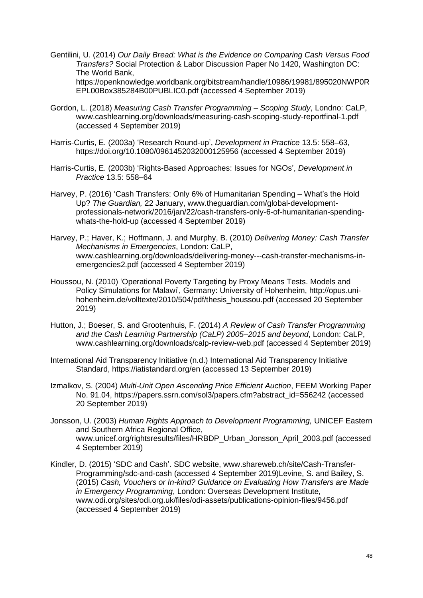- Gentilini, U. (2014) *Our Daily Bread: What is the Evidence on Comparing Cash Versus Food Transfers?* Social Protection & Labor Discussion Paper No 1420, Washington DC: The World Bank, https://openknowledge.worldbank.org/bitstream/handle/10986/19981/895020NWP0R EPL00Box385284B00PUBLIC0.pdf (accessed 4 September 2019)
- Gordon, L. (2018) *Measuring Cash Transfer Programming – Scoping Study*, Londno: CaLP, www.cashlearning.org/downloads/measuring-cash-scoping-study-reportfinal-1.pdf (accessed 4 September 2019)
- Harris-Curtis, E. (2003a) 'Research Round-up', *Development in Practice* 13.5: 558–63, https://doi.org/10.1080/0961452032000125956 (accessed 4 September 2019)
- Harris-Curtis, E. (2003b) 'Rights-Based Approaches: Issues for NGOs', *Development in Practice* 13.5: 558–64
- Harvey, P. (2016) 'Cash Transfers: Only 6% of Humanitarian Spending What's the Hold Up? *The Guardian,* 22 January, www.theguardian.com/global-developmentprofessionals-network/2016/jan/22/cash-transfers-only-6-of-humanitarian-spendingwhats-the-hold-up (accessed 4 September 2019)
- Harvey, P.; Haver, K.; Hoffmann, J. and Murphy, B. (2010) *Delivering Money: Cash Transfer Mechanisms in Emergencies*, London: CaLP, www.cashlearning.org/downloads/delivering-money---cash-transfer-mechanisms-inemergencies2.pdf (accessed 4 September 2019)
- Houssou, N. (2010) 'Operational Poverty Targeting by Proxy Means Tests. Models and Policy Simulations for Malawi', Germany: University of Hohenheim, http://opus.unihohenheim.de/volltexte/2010/504/pdf/thesis\_houssou.pdf (accessed 20 September 2019)
- Hutton, J.; Boeser, S. and Grootenhuis, F. (2014) *A Review of Cash Transfer Programming and the Cash Learning Partnership (CaLP) 2005–2015 and beyond*, London: CaLP, www.cashlearning.org/downloads/calp-review-web.pdf (accessed 4 September 2019)
- International Aid Transparency Initiative (n.d.) International Aid Transparency Initiative Standard, https://iatistandard.org/en (accessed 13 September 2019)
- Izmalkov, S. (2004) *Multi-Unit Open Ascending Price Efficient Auction*, FEEM Working Paper No. 91.04, https://papers.ssrn.com/sol3/papers.cfm?abstract\_id=556242 (accessed 20 September 2019)
- Jonsson, U. (2003) *Human Rights Approach to Development Programming,* UNICEF Eastern and Southern Africa Regional Office, www.unicef.org/rightsresults/files/HRBDP\_Urban\_Jonsson\_April\_2003.pdf (accessed 4 September 2019)
- Kindler, D. (2015) 'SDC and Cash'. SDC website, www.shareweb.ch/site/Cash-Transfer-Programming/sdc-and-cash (accessed 4 September 2019)Levine, S. and Bailey, S. (2015) *Cash, Vouchers or In-kind? Guidance on Evaluating How Transfers are Made in Emergency Programming*, London: Overseas Development Institute*,*  www.odi.org/sites/odi.org.uk/files/odi-assets/publications-opinion-files/9456.pdf (accessed 4 September 2019)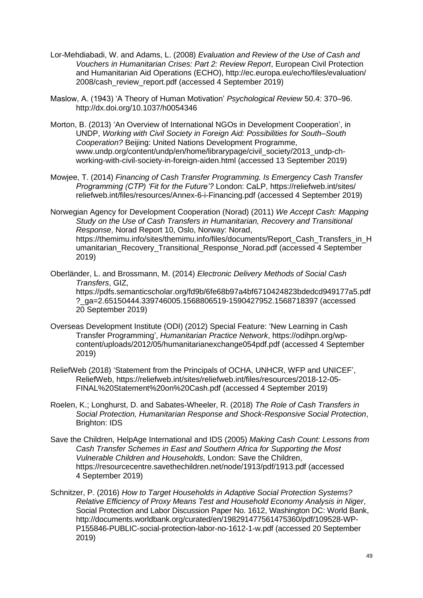- Lor-Mehdiabadi, W. and Adams, L. (2008) *Evaluation and Review of the Use of Cash and Vouchers in Humanitarian Crises: Part 2: Review Report*, European Civil Protection and Humanitarian Aid Operations (ECHO), http://ec.europa.eu/echo/files/evaluation/ 2008/cash\_review\_report.pdf (accessed 4 September 2019)
- Maslow, A. (1943) 'A Theory of Human Motivation' *Psychological Review* 50.4: 370–96. http://dx.doi.org/10.1037/h0054346
- Morton, B. (2013) 'An Overview of International NGOs in Development Cooperation', in UNDP, *Working with Civil Society in Foreign Aid: Possibilities for South–South Cooperation?* Beijing: United Nations Development Programme, www.undp.org/content/undp/en/home/librarypage/civil\_society/2013\_undp-chworking-with-civil-society-in-foreign-aiden.html (accessed 13 September 2019)
- Mowjee, T. (2014) *Financing of Cash Transfer Programming. Is Emergency Cash Transfer Programming (CTP) 'Fit for the Future'?* London: CaLP, https://reliefweb.int/sites/ reliefweb.int/files/resources/Annex-6-i-Financing.pdf (accessed 4 September 2019)

Norwegian Agency for Development Cooperation (Norad) (2011) *We Accept Cash: Mapping Study on the Use of Cash Transfers in Humanitarian, Recovery and Transitional Response*, Norad Report 10, Oslo, Norway: Norad, https://themimu.info/sites/themimu.info/files/documents/Report\_Cash\_Transfers\_in\_H umanitarian\_Recovery\_Transitional\_Response\_Norad.pdf (accessed 4 September 2019)

Oberländer, L. and Brossmann, M. (2014) *Electronic Delivery Methods of Social Cash Transfers*, GIZ, https://pdfs.semanticscholar.org/fd9b/6fe68b97a4bf6710424823bdedcd949177a5.pdf ?\_ga=2.65150444.339746005.1568806519-1590427952.1568718397 (accessed 20 September 2019)

- Overseas Development Institute (ODI) (2012) Special Feature: 'New Learning in Cash Transfer Programming', *Humanitarian Practice Network*, https://odihpn.org/wpcontent/uploads/2012/05/humanitarianexchange054pdf.pdf (accessed 4 September 2019)
- ReliefWeb (2018) 'Statement from the Principals of OCHA, UNHCR, WFP and UNICEF', ReliefWeb, https://reliefweb.int/sites/reliefweb.int/files/resources/2018-12-05- FINAL%20Statement%20on%20Cash.pdf (accessed 4 September 2019)
- Roelen, K.; Longhurst, D. and Sabates-Wheeler, R. (2018) *The Role of Cash Transfers in Social Protection, Humanitarian Response and Shock-Responsive Social Protection*, Brighton: IDS
- Save the Children, HelpAge International and IDS (2005) *Making Cash Count: Lessons from Cash Transfer Schemes in East and Southern Africa for Supporting the Most Vulnerable Children and Households,* London: Save the Children, https://resourcecentre.savethechildren.net/node/1913/pdf/1913.pdf (accessed 4 September 2019)
- Schnitzer, P. (2016) *How to Target Households in Adaptive Social Protection Systems? Relative Efficiency of Proxy Means Test and Household Economy Analysis in Niger*, Social Protection and Labor Discussion Paper No. 1612, Washington DC: World Bank, http://documents.worldbank.org/curated/en/198291477561475360/pdf/109528-WP-P155846-PUBLIC-social-protection-labor-no-1612-1-w.pdf (accessed 20 September 2019)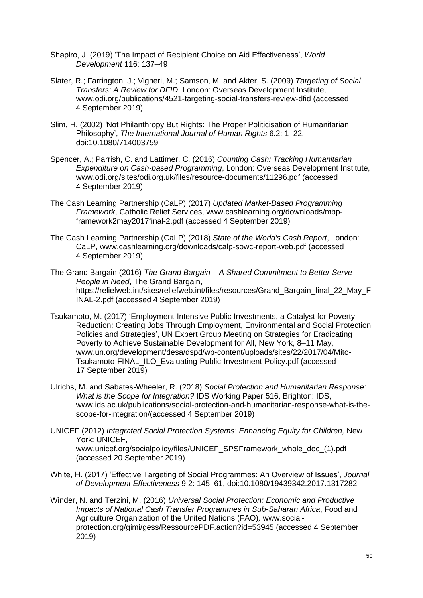- Shapiro, J. (2019) 'The Impact of Recipient Choice on Aid Effectiveness', *World Development* 116: 137–49
- Slater, R.; Farrington, J.; Vigneri, M.; Samson, M. and Akter, S. (2009) *Targeting of Social Transfers: A Review for DFID*, London: Overseas Development Institute, www.odi.org/publications/4521-targeting-social-transfers-review-dfid (accessed 4 September 2019)
- Slim, H. (2002) *'*Not Philanthropy But Rights: The Proper Politicisation of Humanitarian Philosophy', *The International Journal of Human Rights* 6.2: 1–22, doi:10.1080/714003759
- Spencer, A.; Parrish, C. and Lattimer, C. (2016) *Counting Cash: Tracking Humanitarian Expenditure on Cash-based Programming*, London: Overseas Development Institute, www.odi.org/sites/odi.org.uk/files/resource-documents/11296.pdf (accessed 4 September 2019)
- The Cash Learning Partnership (CaLP) (2017) *Updated Market-Based Programming Framework*, Catholic Relief Services, www.cashlearning.org/downloads/mbpframework2may2017final-2.pdf (accessed 4 September 2019)
- The Cash Learning Partnership (CaLP) (2018) *State of the World's Cash Report*, London: CaLP, www.cashlearning.org/downloads/calp-sowc-report-web.pdf (accessed 4 September 2019)
- The Grand Bargain (2016) *The Grand Bargain – A Shared Commitment to Better Serve People in Need*, The Grand Bargain, https://reliefweb.int/sites/reliefweb.int/files/resources/Grand\_Bargain\_final\_22\_May\_F INAL-2.pdf (accessed 4 September 2019)
- Tsukamoto, M. (2017) 'Employment-Intensive Public Investments, a Catalyst for Poverty Reduction: Creating Jobs Through Employment, Environmental and Social Protection Policies and Strategies', UN Expert Group Meeting on Strategies for Eradicating Poverty to Achieve Sustainable Development for All, New York, 8–11 May, www.un.org/development/desa/dspd/wp-content/uploads/sites/22/2017/04/Mito-Tsukamoto-FINAL\_ILO\_Evaluating-Public-Investment-Policy.pdf (accessed 17 September 2019)
- Ulrichs, M. and Sabates-Wheeler, R. (2018) *Social Protection and Humanitarian Response: What is the Scope for Integration?* IDS Working Paper 516, Brighton: IDS, www.ids.ac.uk/publications/social-protection-and-humanitarian-response-what-is-thescope-for-integration/(accessed 4 September 2019)
- UNICEF (2012) *Integrated Social Protection Systems: Enhancing Equity for Children,* New York: UNICEF,

www.unicef.org/socialpolicy/files/UNICEF\_SPSFramework\_whole\_doc\_(1).pdf (accessed 20 September 2019)

- White, H. (2017) 'Effective Targeting of Social Programmes: An Overview of Issues', *Journal of Development Effectiveness* 9.2: 145–61, doi:10.1080/19439342.2017.1317282
- Winder, N. and Terzini, M. (2016) *Universal Social Protection: Economic and Productive Impacts of National Cash Transfer Programmes in Sub-Saharan Africa*, Food and Agriculture Organization of the United Nations (FAO)*,* www.socialprotection.org/gimi/gess/RessourcePDF.action?id=53945 (accessed 4 September 2019)